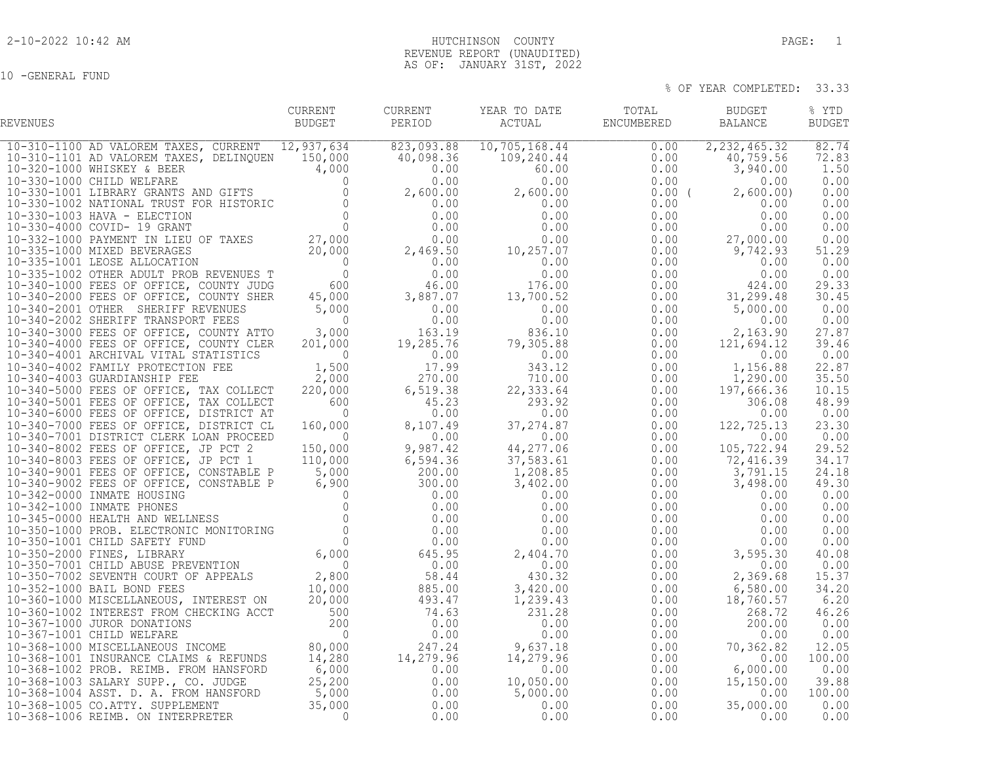10 -GENERAL FUND

## 2-10-2022 10:42 AM HUTCHINSON COUNTY PAGE: 1 REVENUE REPORT (UNAUDITED) AS OF: JANUARY 31ST, 2022

| REVENUES | CURRENT<br>BUDGET | PERIOD | CURRENT YEAR TO DATE | TOTAL BUDGET<br>${\tt ACTUAL} \hspace{2.3cm} {\tt ENCUMBERED} \hspace{2.3cm} {\tt BALANCE}$ | % YTD<br><b>BUDGET</b> |
|----------|-------------------|--------|----------------------|---------------------------------------------------------------------------------------------|------------------------|
|          |                   |        |                      |                                                                                             |                        |
|          |                   |        |                      |                                                                                             |                        |
|          |                   |        |                      |                                                                                             |                        |
|          |                   |        |                      |                                                                                             |                        |
|          |                   |        |                      |                                                                                             |                        |
|          |                   |        |                      |                                                                                             |                        |
|          |                   |        |                      |                                                                                             |                        |
|          |                   |        |                      |                                                                                             |                        |
|          |                   |        |                      |                                                                                             |                        |
|          |                   |        |                      |                                                                                             |                        |
|          |                   |        |                      |                                                                                             |                        |
|          |                   |        |                      |                                                                                             |                        |
|          |                   |        |                      |                                                                                             |                        |
|          |                   |        |                      |                                                                                             |                        |
|          |                   |        |                      |                                                                                             |                        |
|          |                   |        |                      |                                                                                             |                        |
|          |                   |        |                      |                                                                                             |                        |
|          |                   |        |                      |                                                                                             |                        |
|          |                   |        |                      |                                                                                             |                        |
|          |                   |        |                      |                                                                                             |                        |
|          |                   |        |                      |                                                                                             |                        |
|          |                   |        |                      |                                                                                             |                        |
|          |                   |        |                      |                                                                                             |                        |
|          |                   |        |                      |                                                                                             |                        |
|          |                   |        |                      |                                                                                             |                        |
|          |                   |        |                      |                                                                                             |                        |
|          |                   |        |                      |                                                                                             |                        |
|          |                   |        |                      |                                                                                             |                        |
|          |                   |        |                      |                                                                                             |                        |
|          |                   |        |                      |                                                                                             |                        |
|          |                   |        |                      |                                                                                             |                        |
|          |                   |        |                      |                                                                                             |                        |
|          |                   |        |                      |                                                                                             |                        |
|          |                   |        |                      |                                                                                             |                        |
|          |                   |        |                      |                                                                                             |                        |
|          |                   |        |                      |                                                                                             |                        |
|          |                   |        |                      |                                                                                             |                        |
|          |                   |        |                      |                                                                                             |                        |
|          |                   |        |                      |                                                                                             |                        |
|          |                   |        |                      |                                                                                             |                        |
|          |                   |        |                      |                                                                                             |                        |
|          |                   |        |                      |                                                                                             |                        |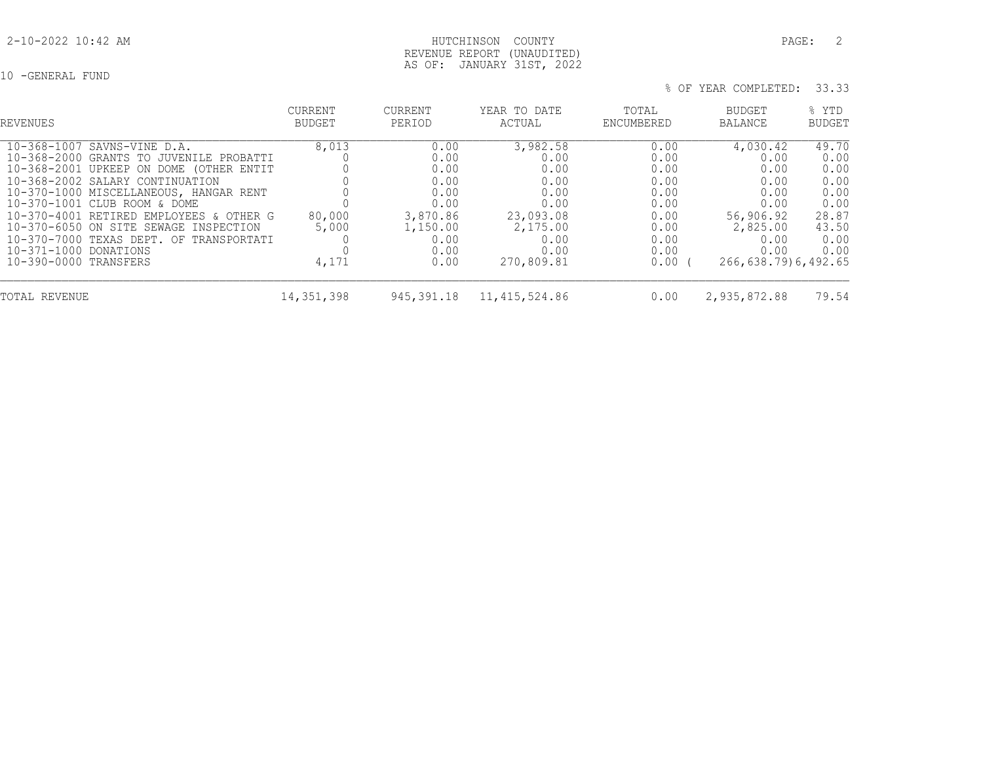10 -GENERAL FUND

| REVENUES                                                                                                                                                                                                                                                                                                                                                                                                        | <b>CURRENT</b><br>BUDGET          | <b>CURRENT</b><br>PERIOD                                                                     | YEAR TO DATE<br>ACTUAL                                                                                  | TOTAL<br>ENCUMBERED                                                                  | BUDGET<br><b>BALANCE</b>                                                                                            | % YTD<br>BUDGET                                                                 |
|-----------------------------------------------------------------------------------------------------------------------------------------------------------------------------------------------------------------------------------------------------------------------------------------------------------------------------------------------------------------------------------------------------------------|-----------------------------------|----------------------------------------------------------------------------------------------|---------------------------------------------------------------------------------------------------------|--------------------------------------------------------------------------------------|---------------------------------------------------------------------------------------------------------------------|---------------------------------------------------------------------------------|
| 10-368-1007 SAVNS-VINE D.A.<br>10-368-2000 GRANTS TO JUVENILE PROBATTI<br>10-368-2001 UPKEEP ON DOME (OTHER ENTIT<br>10-368-2002 SALARY CONTINUATION<br>10-370-1000 MISCELLANEOUS, HANGAR RENT<br>10-370-1001 CLUB ROOM & DOME<br>10-370-4001 RETIRED EMPLOYEES & OTHER G<br>10-370-6050 ON SITE SEWAGE INSPECTION<br>10-370-7000 TEXAS DEPT. OF TRANSPORTATI<br>10-371-1000 DONATIONS<br>10-390-0000 TRANSFERS | 8,013<br>80,000<br>5,000<br>4,171 | 0.00<br>0.00<br>0.00<br>0.00<br>0.00<br>0.00<br>3,870.86<br>1,150.00<br>0.00<br>0.00<br>0.00 | 3,982.58<br>0.00<br>0.00<br>0.00<br>0.00<br>0.00<br>23,093.08<br>2,175.00<br>0.00<br>0.00<br>270,809.81 | 0.00<br>0.00<br>0.00<br>0.00<br>0.00<br>0.00<br>0.00<br>0.00<br>0.00<br>0.00<br>0.00 | 4,030.42<br>0.00<br>0.00<br>0.00<br>0.00<br>0.00<br>56,906.92<br>2,825.00<br>0.00<br>0.00<br>266, 638.79) 6, 492.65 | 49.70<br>0.00<br>0.00<br>0.00<br>0.00<br>0.00<br>28.87<br>43.50<br>0.00<br>0.00 |
| TOTAL REVENUE                                                                                                                                                                                                                                                                                                                                                                                                   | 14, 351, 398                      | 945,391.18                                                                                   | 11, 415, 524.86                                                                                         | 0.00                                                                                 | 2,935,872.88                                                                                                        | 79.54                                                                           |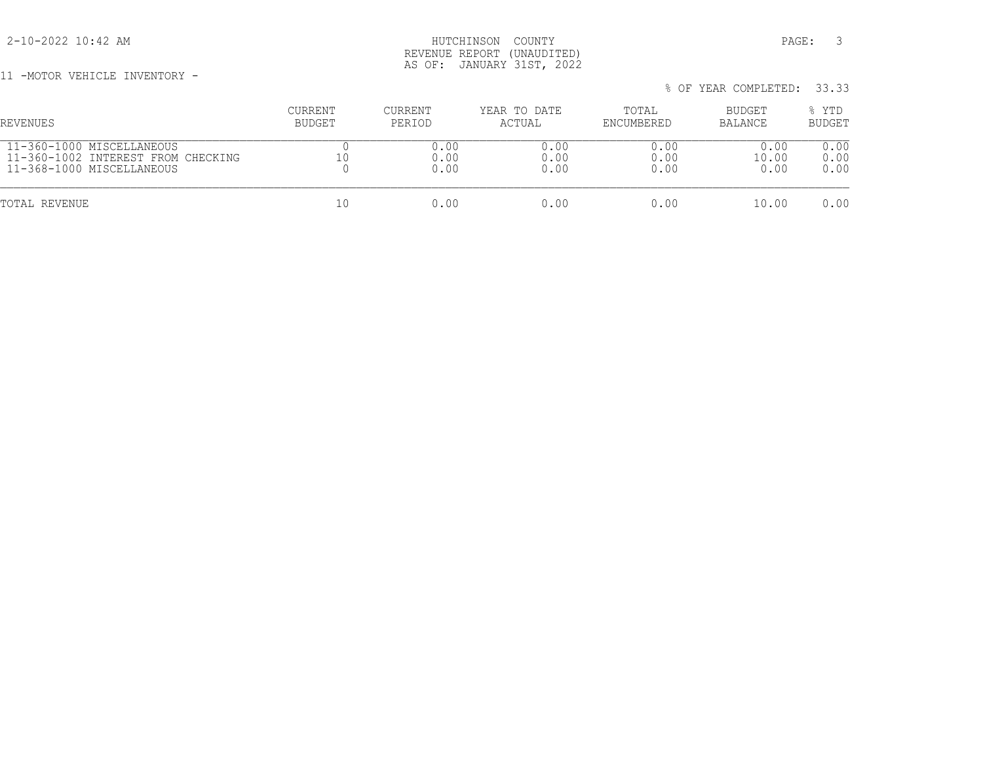2-10-2022 10:42 AM HUTCHINSON COUNTY PAGE: 3 REVENUE REPORT (UNAUDITED) AS OF: JANUARY 31ST, 2022

11 -MOTOR VEHICLE INVENTORY -

| REVENUES                           | <b>CURRENT</b> | CURRENT | YEAR TO DATE | TOTAL      | BUDGET  | % YTD         |
|------------------------------------|----------------|---------|--------------|------------|---------|---------------|
|                                    | BUDGET         | PERIOD  | ACTUAL       | ENCUMBERED | BALANCE | <b>BUDGET</b> |
| 11-360-1000 MISCELLANEOUS          |                | 0.00    | 0.00         | 0.00       | 0.00    | 0.00          |
| 11-360-1002 INTEREST FROM CHECKING |                | 0.00    | 0.00         | 0.00       | 10.00   | 0.00          |
| 11-368-1000 MISCELLANEOUS          |                | 0.00    | 0.00         | 0.00       | 0.00    | 0.00          |
| TOTAL REVENUE                      | 10             | 0.00    | 0.00         | 0.00       | 10.00   | 0.00          |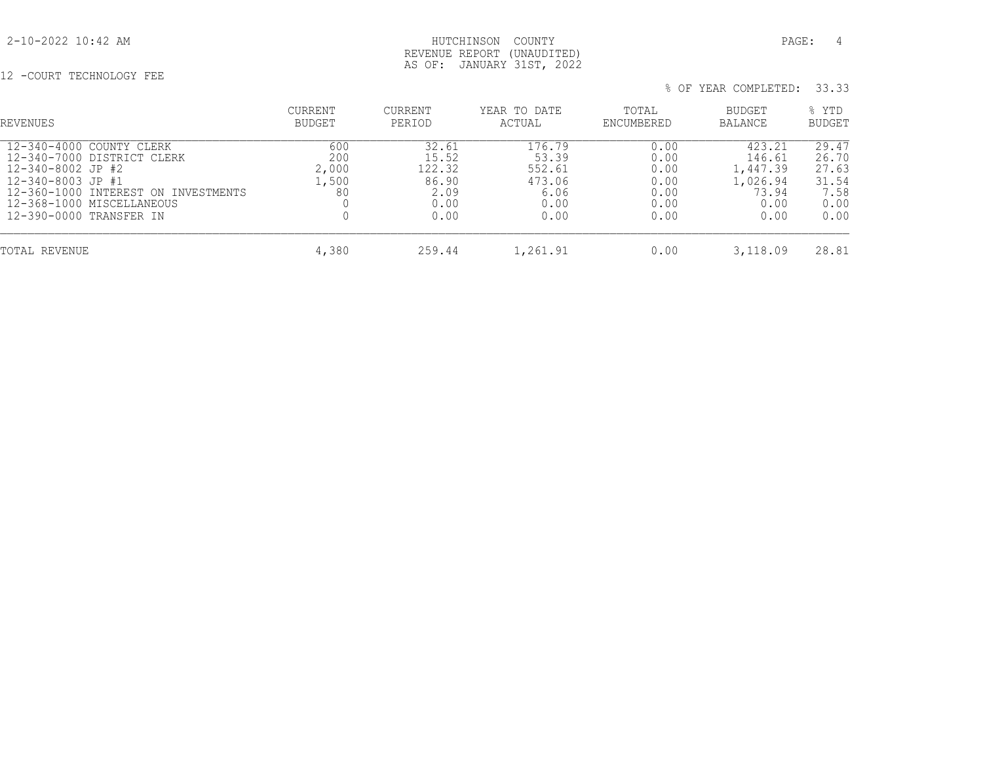## 2-10-2022 10:42 AM HUTCHINSON COUNTY PAGE: 4 REVENUE REPORT (UNAUDITED) AS OF: JANUARY 31ST, 2022

12 -COURT TECHNOLOGY FEE

| REVENUES                                                                                                                                                                                        | <b>CURRENT</b><br>BUDGET           | CURRENT<br>PERIOD                                         | YEAR TO DATE<br>ACTUAL                                      | TOTAL<br>ENCUMBERED                                  | <b>BUDGET</b><br>BALANCE                                          | % YTD<br>BUDGET                                          |
|-------------------------------------------------------------------------------------------------------------------------------------------------------------------------------------------------|------------------------------------|-----------------------------------------------------------|-------------------------------------------------------------|------------------------------------------------------|-------------------------------------------------------------------|----------------------------------------------------------|
| 12-340-4000 COUNTY CLERK<br>12-340-7000 DISTRICT CLERK<br>12-340-8002 JP #2<br>12-340-8003 JP #1<br>12-360-1000 INTEREST ON INVESTMENTS<br>12-368-1000 MISCELLANEOUS<br>12-390-0000 TRANSFER IN | 600<br>200<br>2,000<br>1,500<br>80 | 32.61<br>15.52<br>122.32<br>86.90<br>2.09<br>0.00<br>0.00 | 176.79<br>53.39<br>552.61<br>473.06<br>6.06<br>0.00<br>0.00 | 0.00<br>0.00<br>0.00<br>0.00<br>0.00<br>0.00<br>0.00 | 423.21<br>146.61<br>1,447.39<br>1,026.94<br>73.94<br>0.00<br>0.00 | 29.47<br>26.70<br>27.63<br>31.54<br>7.58<br>0.00<br>0.00 |
| TOTAL REVENUE                                                                                                                                                                                   | 4,380                              | 259.44                                                    | 1,261.91                                                    | 0.00                                                 | 3,118.09                                                          | 28.81                                                    |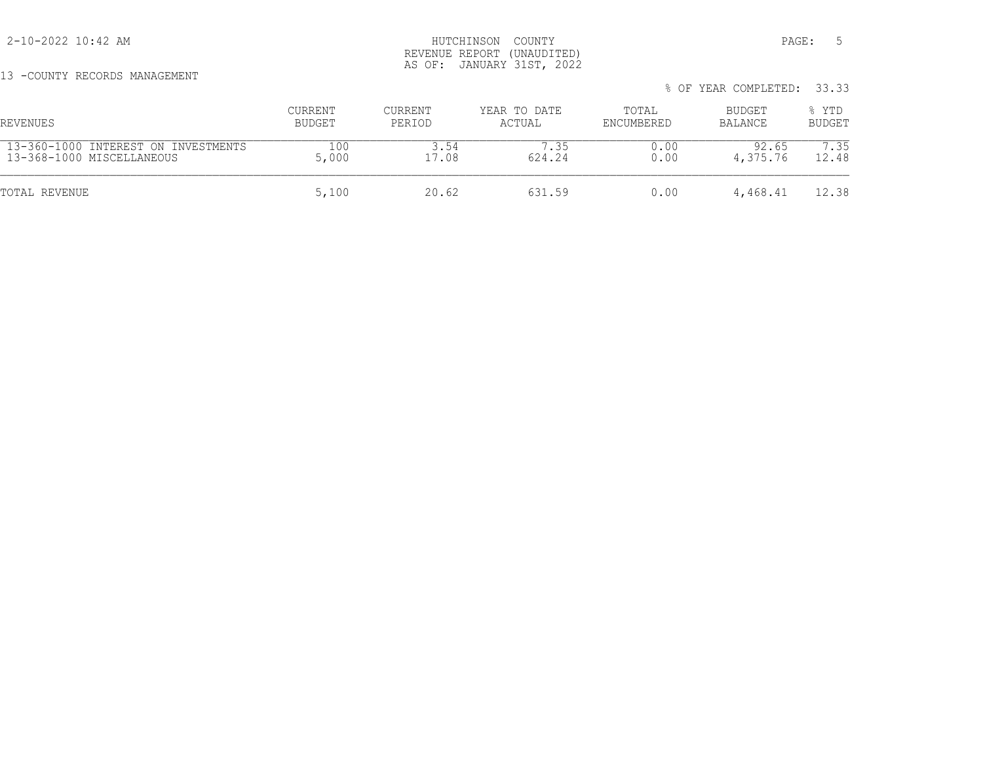13 -COUNTY RECORDS MANAGEMENT

## 2-10-2022 10:42 AM HUTCHINSON COUNTY PAGE: 5 REVENUE REPORT (UNAUDITED) AS OF: JANUARY 31ST, 2022

% OF YEAR COMPLETED: 33.33

 CURRENT CURRENT YEAR TO DATE TOTAL BUDGET % YTD REVENUES BUDGET PERIOD ACTUAL ENCUMBERED BALANCE BUDGET 13-360-1000 INTEREST ON INVESTMENTS 100 3.54 7.35 0.00 92.65 7.35 13-368-1000 MISCELLANEOUS 5,000 17.08 624.24 0.00 4,375.76 12.48 TOTAL REVENUE 631.59 0.00 4,468.41 12.38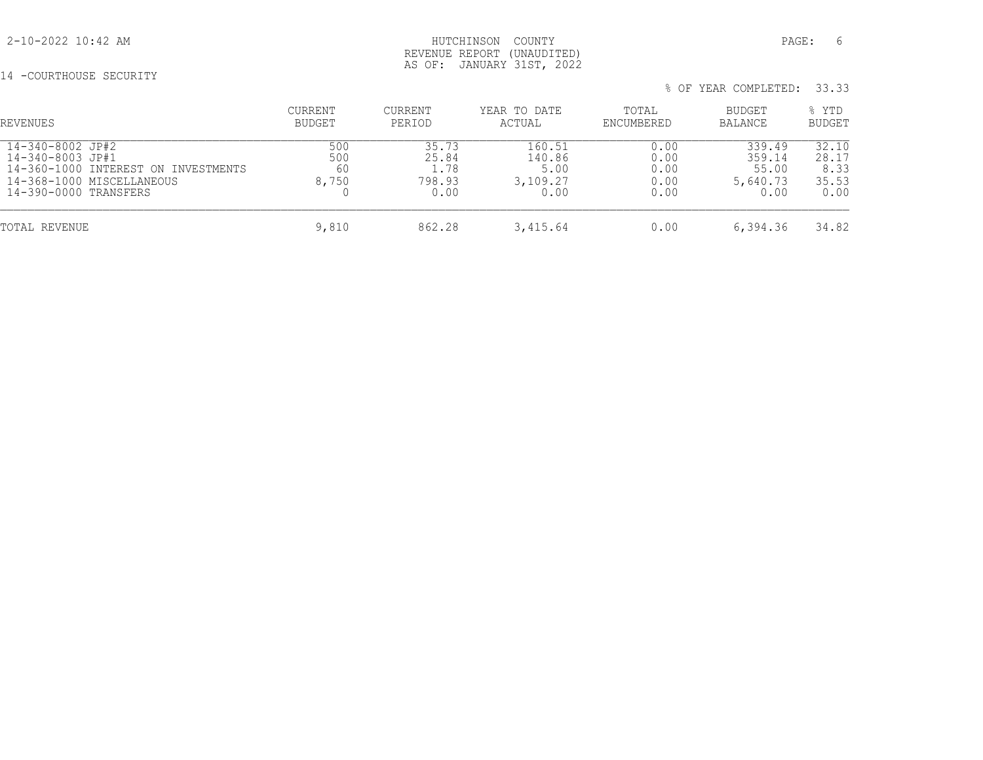## 2-10-2022 10:42 AM HUTCHINSON COUNTY PAGE: 6 REVENUE REPORT (UNAUDITED) AS OF: JANUARY 31ST, 2022

# 14 -COURTHOUSE SECURITY

| % OF YEAR COMPLETED: 33.33 |  |
|----------------------------|--|
|----------------------------|--|

| REVENUES                                                                                                                          | CURRENT<br>BUDGET         | <b>CURRENT</b><br>PERIOD                 | YEAR TO DATE<br>ACTUAL                       | TOTAL<br>ENCUMBERED                  | BUDGET<br><b>BALANCE</b>                      | % YTD<br><b>BUDGET</b>                  |
|-----------------------------------------------------------------------------------------------------------------------------------|---------------------------|------------------------------------------|----------------------------------------------|--------------------------------------|-----------------------------------------------|-----------------------------------------|
| 14-340-8002 JP#2<br>14-340-8003 JP#1<br>14-360-1000 INTEREST ON INVESTMENTS<br>14-368-1000 MISCELLANEOUS<br>14-390-0000 TRANSFERS | 500<br>500<br>60<br>8,750 | 35.73<br>25.84<br>1.78<br>798.93<br>0.00 | 160.51<br>140.86<br>5.00<br>3,109.27<br>0.00 | 0.00<br>0.00<br>0.00<br>0.00<br>0.00 | 339.49<br>359.14<br>55.00<br>5,640.73<br>0.00 | 32.10<br>28.17<br>8.33<br>35.53<br>0.00 |
| TOTAL REVENUE                                                                                                                     | 9,810                     | 862.28                                   | 3,415.64                                     | 0.00                                 | 6,394.36                                      | 34.82                                   |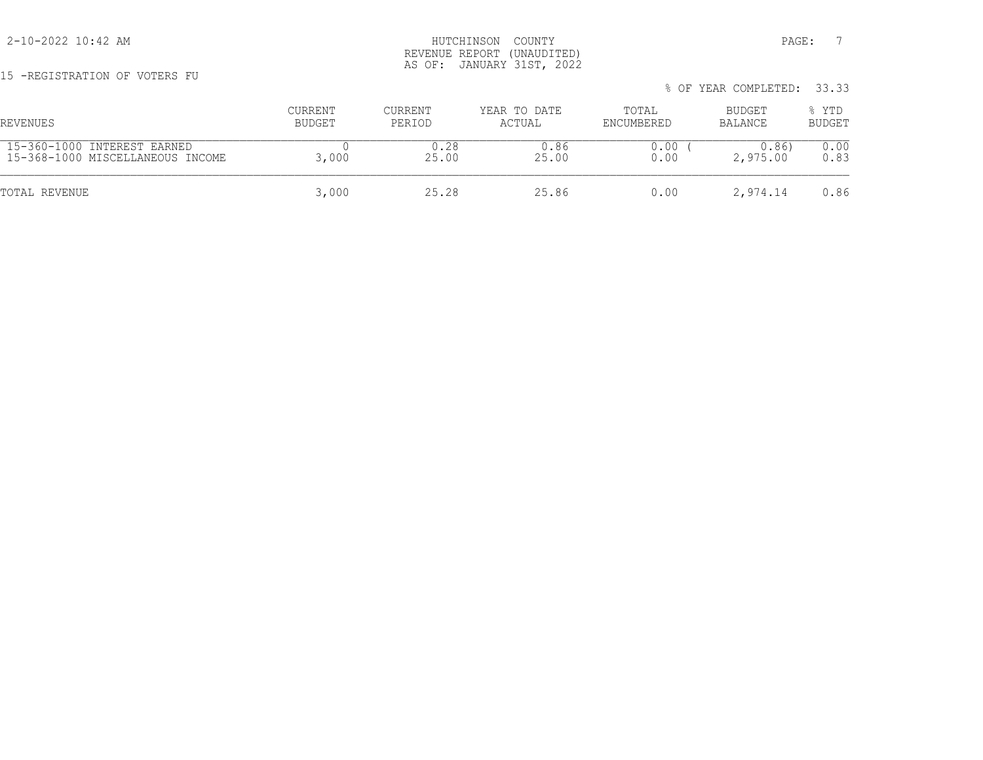15 -REGISTRATION OF VOTERS FU

|                                  |         |         |              |            | % OF YEAR COMPLETED: 33.33 |        |
|----------------------------------|---------|---------|--------------|------------|----------------------------|--------|
| REVENUES                         | CURRENT | CURRENT | YEAR TO DATE | TOTAL      | BUDGET                     | % YTD  |
|                                  | BUDGET  | PERIOD  | ACTUAL       | ENCUMBERED | BALANCE                    | BUDGET |
| 15-360-1000 INTEREST EARNED      | 3,000   | 0.28    | 0.86         | 0.00       | 0.86)                      | 0.00   |
| 15-368-1000 MISCELLANEOUS INCOME |         | 25.00   | 25.00        | 0.00       | 2,975.00                   | 0.83   |
| TOTAL REVENUE                    | 3,000   | 25.28   | 25.86        | 0.00       | 2,974.14                   | 0.86   |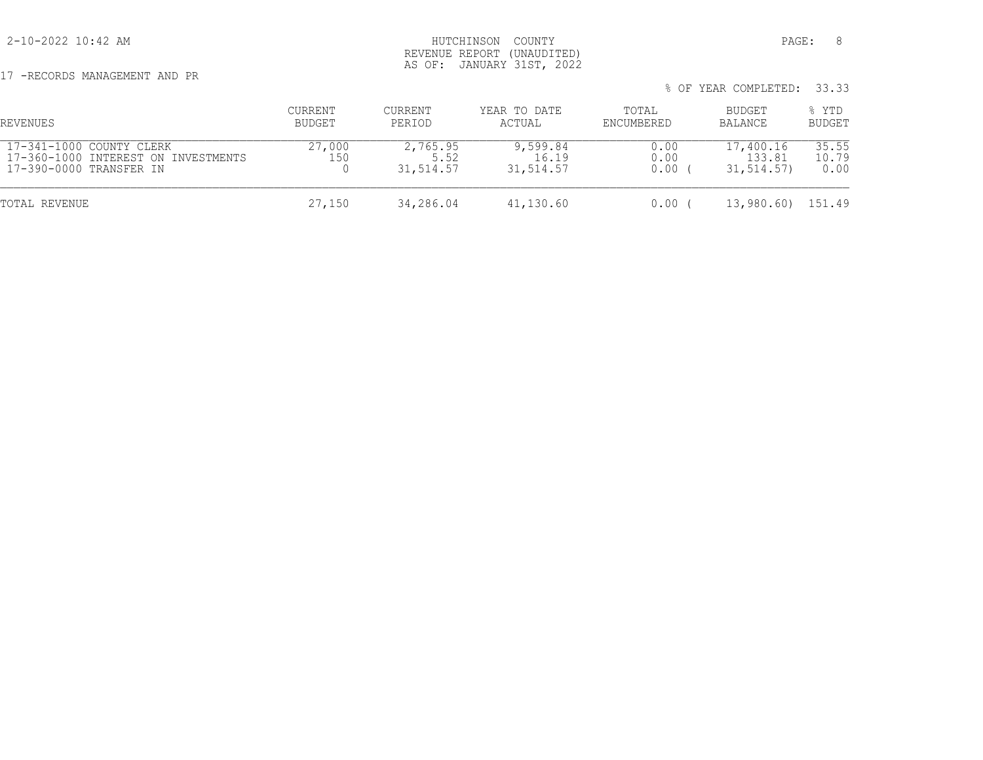17 -RECORDS MANAGEMENT AND PR

| REVENUES                                                                                   | CURRENT<br>BUDGET | CURRENT<br>PERIOD             | YEAR TO DATE<br>ACTUAL         | TOTAL<br>ENCUMBERED  | BUDGET<br>BALANCE                 | % YTD<br><b>BUDGET</b> |
|--------------------------------------------------------------------------------------------|-------------------|-------------------------------|--------------------------------|----------------------|-----------------------------------|------------------------|
| 17-341-1000 COUNTY CLERK<br>17-360-1000 INTEREST ON INVESTMENTS<br>17-390-0000 TRANSFER IN | 27,000<br>150     | 2,765.95<br>5.52<br>31,514.57 | 9,599.84<br>16.19<br>31,514.57 | 0.00<br>0.00<br>0.00 | 17,400.16<br>133.81<br>31, 514.57 | 35.55<br>10.79<br>0.00 |
| TOTAL REVENUE                                                                              | 27,150            | 34,286.04                     | 41,130.60                      | 0.00                 | 13,980.60)                        | 151.49                 |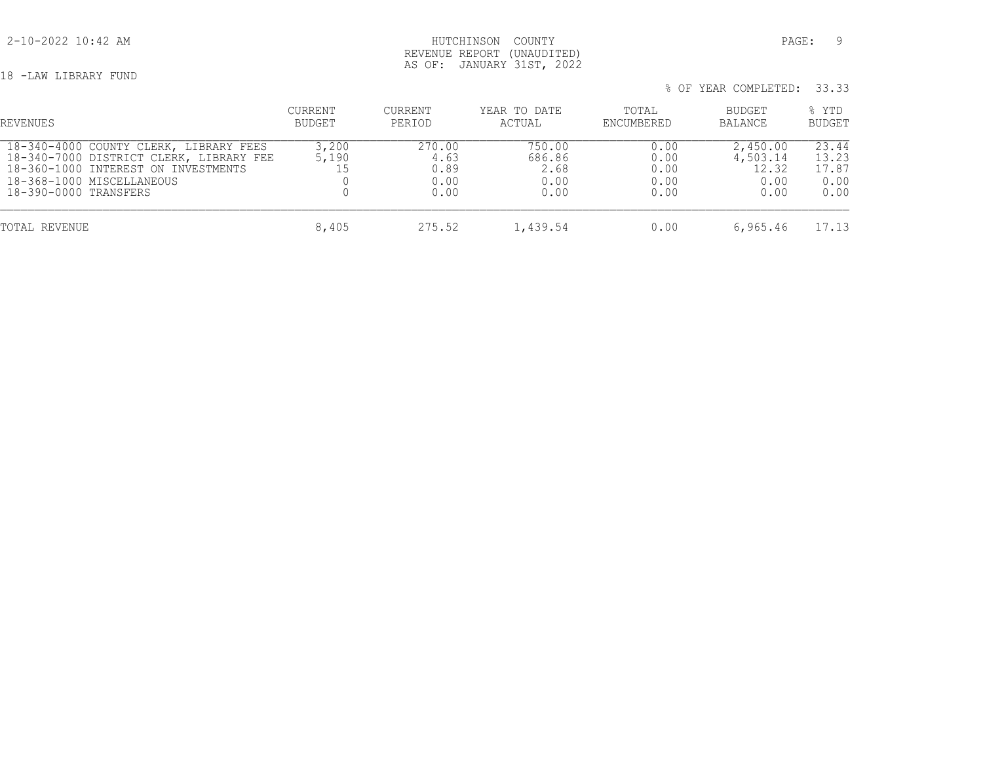## 2-10-2022 10:42 AM HUTCHINSON COUNTY PAGE: 9 REVENUE REPORT (UNAUDITED) AS OF: JANUARY 31ST, 2022

18 -LAW LIBRARY FUND

| % OF YEAR COMPLETED: 33.33 |  |  |  |
|----------------------------|--|--|--|
|----------------------------|--|--|--|

| REVENUES                                                                                                                                                                       | CURRENT<br>BUDGET    | <b>CURRENT</b><br>PERIOD               | YEAR TO DATE<br>ACTUAL                   | TOTAL<br>ENCUMBERED                  | BUDGET<br>BALANCE                             | % YTD<br><b>BUDGET</b>                  |
|--------------------------------------------------------------------------------------------------------------------------------------------------------------------------------|----------------------|----------------------------------------|------------------------------------------|--------------------------------------|-----------------------------------------------|-----------------------------------------|
| 18-340-4000 COUNTY CLERK, LIBRARY FEES<br>18-340-7000 DISTRICT CLERK, LIBRARY FEE<br>18-360-1000 INTEREST ON INVESTMENTS<br>18-368-1000 MISCELLANEOUS<br>18-390-0000 TRANSFERS | 3,200<br>5,190<br>15 | 270.00<br>4.63<br>0.89<br>0.00<br>0.00 | 750.00<br>686.86<br>2.68<br>0.00<br>0.00 | 0.00<br>0.00<br>0.00<br>0.00<br>0.00 | 2,450.00<br>4,503.14<br>12.32<br>0.00<br>0.00 | 23.44<br>13.23<br>17.87<br>0.00<br>0.00 |
| TOTAL REVENUE                                                                                                                                                                  | 8,405                | 275.52                                 | 1,439.54                                 | 0.00                                 | 6,965.46                                      | 17.13                                   |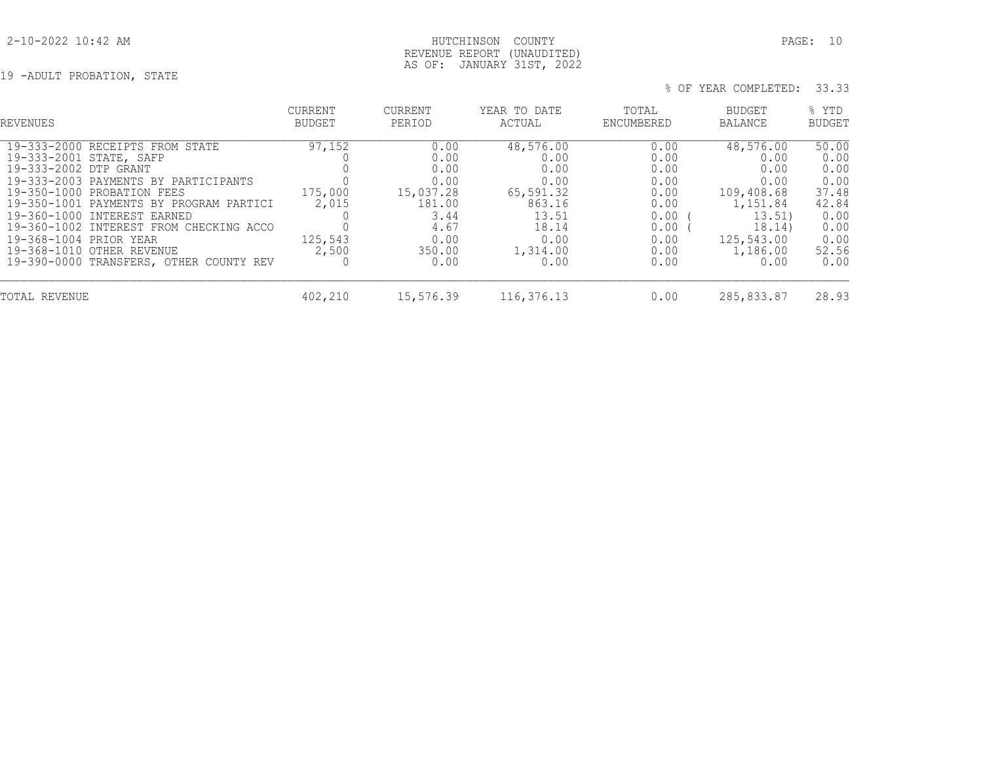## 2-10-2022 10:42 AM HUTCHINSON COUNTY PAGE: 10 REVENUE REPORT (UNAUDITED) AS OF: JANUARY 31ST, 2022

19 -ADULT PROBATION, STATE

| REVENUES                                                                                                                                                                                                                                                                                                                                                                         | <b>CURRENT</b><br><b>BUDGET</b>                | <b>CURRENT</b><br>PERIOD                                                                      | YEAR TO DATE<br>ACTUAL                                                                                 | TOTAL<br>ENCUMBERED                                                                  | BUDGET<br>BALANCE                                                                                                 | % YTD<br><b>BUDGET</b>                                                                   |
|----------------------------------------------------------------------------------------------------------------------------------------------------------------------------------------------------------------------------------------------------------------------------------------------------------------------------------------------------------------------------------|------------------------------------------------|-----------------------------------------------------------------------------------------------|--------------------------------------------------------------------------------------------------------|--------------------------------------------------------------------------------------|-------------------------------------------------------------------------------------------------------------------|------------------------------------------------------------------------------------------|
| 19-333-2000 RECEIPTS FROM STATE<br>19-333-2001 STATE, SAFP<br>19-333-2002 DTP GRANT<br>19-333-2003 PAYMENTS BY PARTICIPANTS<br>19-350-1000 PROBATION FEES<br>19-350-1001 PAYMENTS BY PROGRAM PARTICI<br>19-360-1000 INTEREST EARNED<br>19-360-1002 INTEREST FROM CHECKING ACCO<br>19-368-1004 PRIOR YEAR<br>19-368-1010 OTHER REVENUE<br>19-390-0000 TRANSFERS, OTHER COUNTY REV | 97,152<br>175,000<br>2,015<br>125,543<br>2,500 | 0.00<br>0.00<br>0.00<br>0.00<br>15,037.28<br>181.00<br>3.44<br>4.67<br>0.00<br>350.00<br>0.00 | 48,576.00<br>0.00<br>0.00<br>0.00<br>65,591.32<br>863.16<br>13.51<br>18.14<br>0.00<br>1,314.00<br>0.00 | 0.00<br>0.00<br>0.00<br>0.00<br>0.00<br>0.00<br>0.00<br>0.00<br>0.00<br>0.00<br>0.00 | 48,576.00<br>0.00<br>0.00<br>0.00<br>109,408.68<br>1,151.84<br>13.51)<br>18.14)<br>125,543.00<br>1,186.00<br>0.00 | 50.00<br>0.00<br>0.00<br>0.00<br>37.48<br>42.84<br>0.00<br>0.00<br>0.00<br>52.56<br>0.00 |
| TOTAL REVENUE                                                                                                                                                                                                                                                                                                                                                                    | 402,210                                        | 15,576.39                                                                                     | 116,376.13                                                                                             | 0.00                                                                                 | 285,833.87                                                                                                        | 28.93                                                                                    |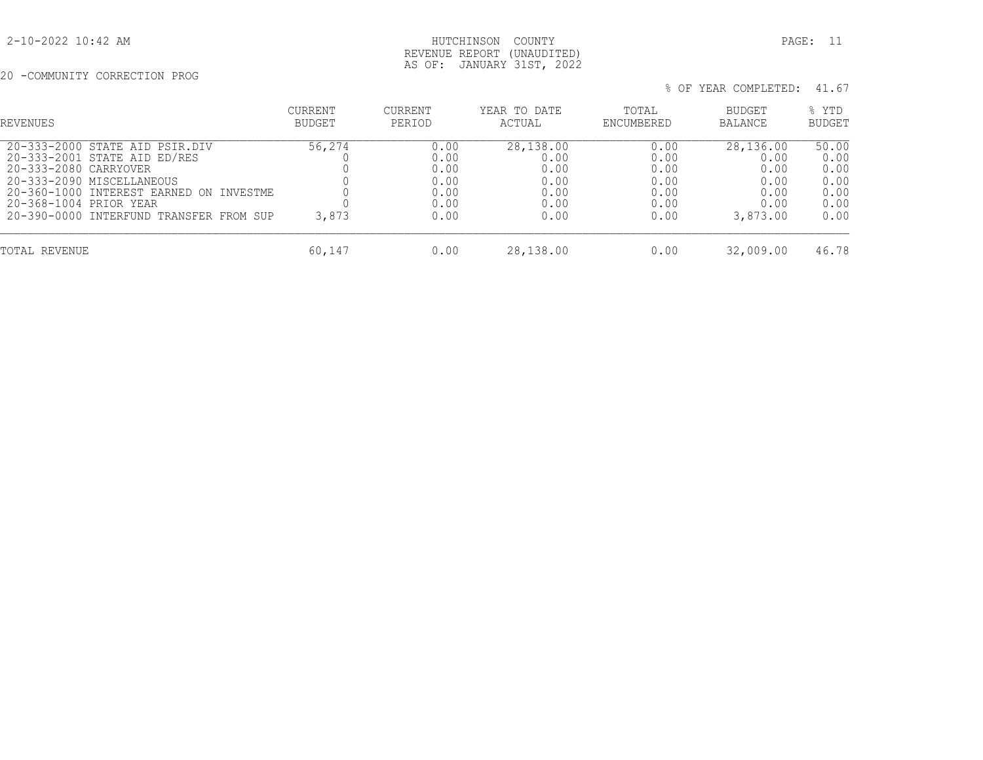## 2-10-2022 10:42 AM HUTCHINSON COUNTY PAGE: 11 REVENUE REPORT (UNAUDITED) AS OF: JANUARY 31ST, 2022

20 -COMMUNITY CORRECTION PROG

|  | % OF YEAR COMPLETED: 41.67 |  |
|--|----------------------------|--|

| REVENUES                                                                                                                                                                                                                             | <b>CURRENT</b><br>BUDGET | <b>CURRENT</b><br>PERIOD                             | YEAR TO DATE<br>ACTUAL                                    | TOTAL<br>ENCUMBERED                                  | BUDGET<br><b>BALANCE</b>                                      | % YTD<br><b>BUDGET</b>                                |
|--------------------------------------------------------------------------------------------------------------------------------------------------------------------------------------------------------------------------------------|--------------------------|------------------------------------------------------|-----------------------------------------------------------|------------------------------------------------------|---------------------------------------------------------------|-------------------------------------------------------|
| 20-333-2000 STATE AID PSIR.DIV<br>20-333-2001 STATE AID ED/RES<br>20-333-2080 CARRYOVER<br>20-333-2090 MISCELLANEOUS<br>20-360-1000 INTEREST EARNED ON INVESTME<br>20-368-1004 PRIOR YEAR<br>20-390-0000 INTERFUND TRANSFER FROM SUP | 56,274<br>3,873          | 0.00<br>0.00<br>0.00<br>0.00<br>0.00<br>0.00<br>0.00 | 28,138.00<br>0.00<br>0.00<br>0.00<br>0.00<br>0.00<br>0.00 | 0.00<br>0.00<br>0.00<br>0.00<br>0.00<br>0.00<br>0.00 | 28,136.00<br>0.00<br>0.00<br>0.00<br>0.00<br>0.00<br>3,873.00 | 50.00<br>0.00<br>0.00<br>0.00<br>0.00<br>0.00<br>0.00 |
| TOTAL REVENUE                                                                                                                                                                                                                        | 60,147                   | 0.00                                                 | 28,138.00                                                 | 0.00                                                 | 32,009.00                                                     | 46.78                                                 |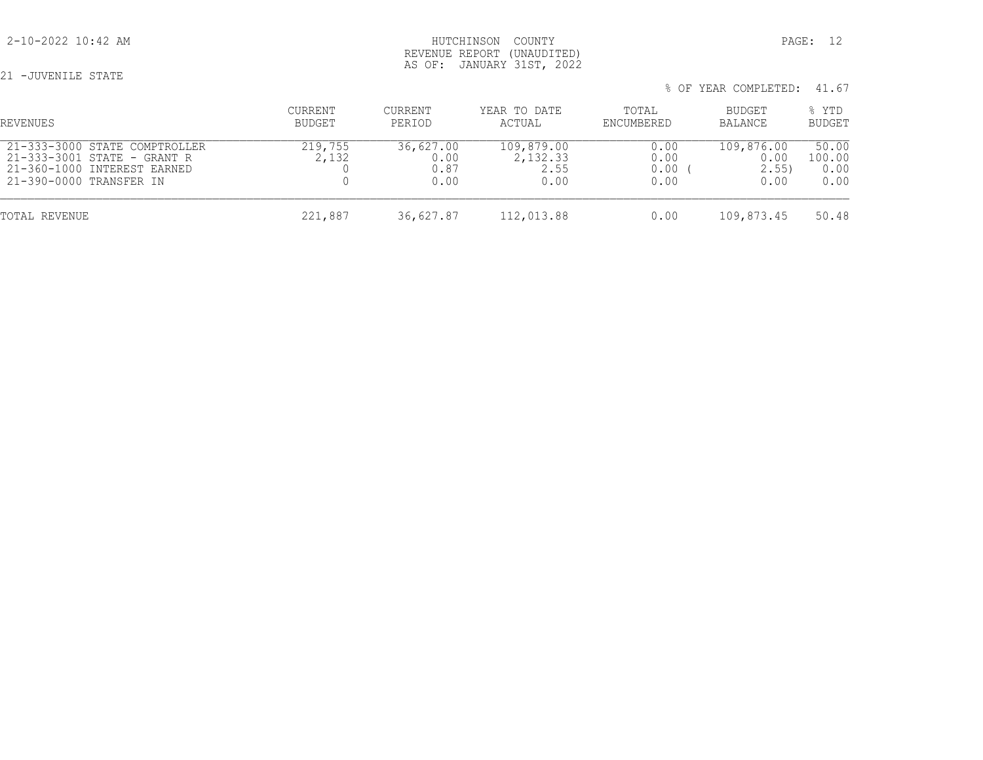## 2-10-2022 10:42 AM HUTCHINSON COUNTY PAGE: 12 REVENUE REPORT (UNAUDITED) AS OF: JANUARY 31ST, 2022

21 -JUVENILE STATE

| % OF YEAR COMPLETED: 41.67 |  |
|----------------------------|--|
|----------------------------|--|

| REVENUES                                                                                                               | CURRENT<br>BUDGET | <b>CURRENT</b><br>PERIOD          | YEAR TO DATE<br>ACTUAL                 | TOTAL<br>ENCUMBERED          | BUDGET<br>BALANCE                  | % YTD<br><b>BUDGET</b>          |
|------------------------------------------------------------------------------------------------------------------------|-------------------|-----------------------------------|----------------------------------------|------------------------------|------------------------------------|---------------------------------|
| 21-333-3000 STATE COMPTROLLER<br>21-333-3001 STATE - GRANT R<br>21-360-1000 INTEREST EARNED<br>21-390-0000 TRANSFER IN | 219,755<br>2,132  | 36,627.00<br>0.00<br>0.87<br>0.00 | 109,879.00<br>2,132.33<br>2.55<br>0.00 | 0.00<br>0.00<br>0.00<br>0.00 | 109,876.00<br>0.00<br>2.55<br>0.00 | 50.00<br>100.00<br>0.00<br>0.00 |
| TOTAL REVENUE                                                                                                          | 221,887           | 36,627.87                         | 112,013.88                             | 0.00                         | 109,873.45                         | 50.48                           |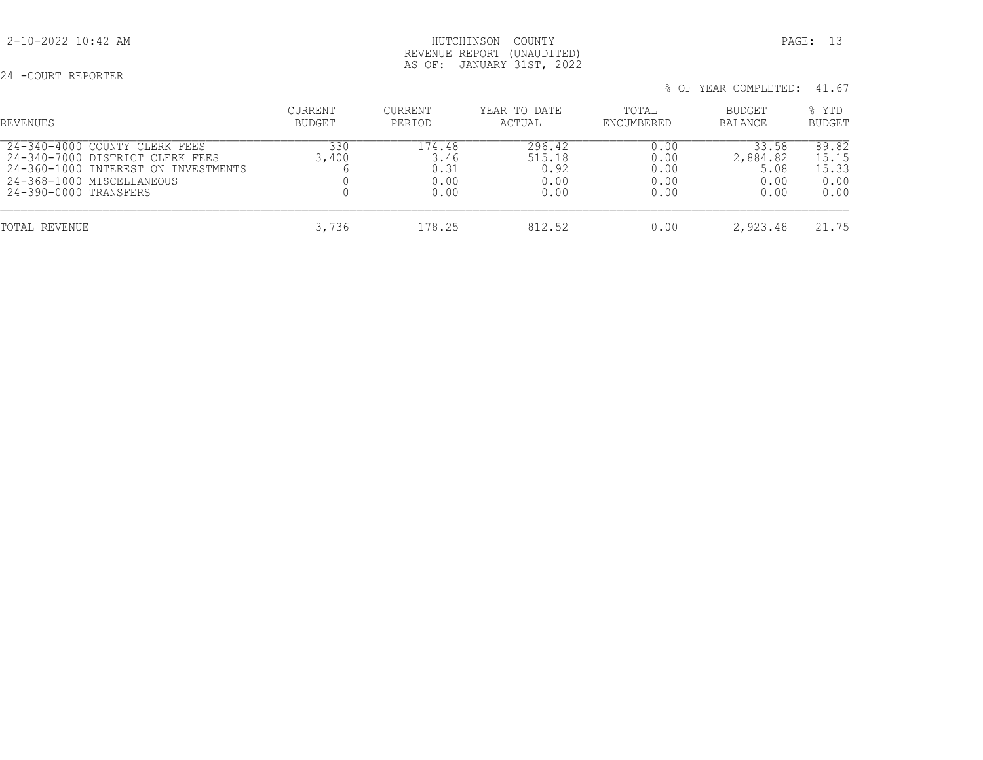## 2-10-2022 10:42 AM HUTCHINSON COUNTY PAGE: 13 REVENUE REPORT (UNAUDITED) AS OF: JANUARY 31ST, 2022

24 -COURT REPORTER

|  | % OF YEAR COMPLETED: 41.67 |  |
|--|----------------------------|--|
|  |                            |  |

| REVENUES                                                                                                                                                      | <b>CURRENT</b><br>BUDGET | <b>CURRENT</b><br>PERIOD               | YEAR TO DATE<br>ACTUAL                   | TOTAL<br>ENCUMBERED                  | BUDGET<br><b>BALANCE</b>                  | % YTD<br><b>BUDGET</b>                  |
|---------------------------------------------------------------------------------------------------------------------------------------------------------------|--------------------------|----------------------------------------|------------------------------------------|--------------------------------------|-------------------------------------------|-----------------------------------------|
| 24-340-4000 COUNTY CLERK FEES<br>24-340-7000 DISTRICT CLERK FEES<br>24-360-1000 INTEREST ON INVESTMENTS<br>24-368-1000 MISCELLANEOUS<br>24-390-0000 TRANSFERS | 330<br>3,400             | 174.48<br>3.46<br>0.31<br>0.00<br>0.00 | 296.42<br>515.18<br>0.92<br>0.00<br>0.00 | 0.00<br>0.00<br>0.00<br>0.00<br>0.00 | 33.58<br>2,884.82<br>5.08<br>0.00<br>0.00 | 89.82<br>15.15<br>15.33<br>0.00<br>0.00 |
| TOTAL REVENUE                                                                                                                                                 | 3,736                    | 178.25                                 | 812.52                                   | 0.00                                 | 2,923.48                                  | 21.75                                   |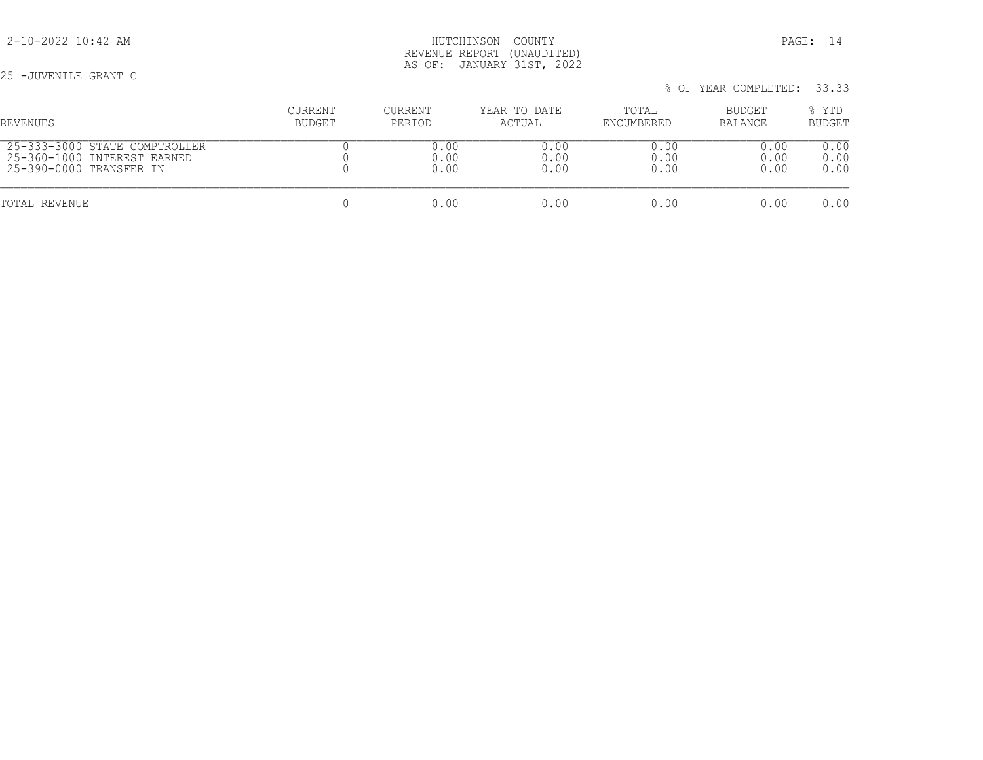25 -JUVENILE GRANT C

| REVENUES                      | <b>CURRENT</b> | <b>CURRENT</b> | YEAR TO DATE | TOTAL      | BUDGET  | % YTD  |
|-------------------------------|----------------|----------------|--------------|------------|---------|--------|
|                               | BUDGET         | PERIOD         | ACTUAL       | ENCUMBERED | BALANCE | BUDGET |
| 25-333-3000 STATE COMPTROLLER |                | 0.00           | 0.00         | 0.00       | 0.00    | 0.00   |
| 25-360-1000 INTEREST EARNED   |                | 0.00           | 0.00         | 0.00       | 0.00    | 0.00   |
| 25-390-0000 TRANSFER IN       |                | 0.00           | 0.00         | 0.00       | 0.00    | 0.00   |
| TOTAL REVENUE                 |                | 0.00           | 0.00         | 0.00       | 0.00    | 0.00   |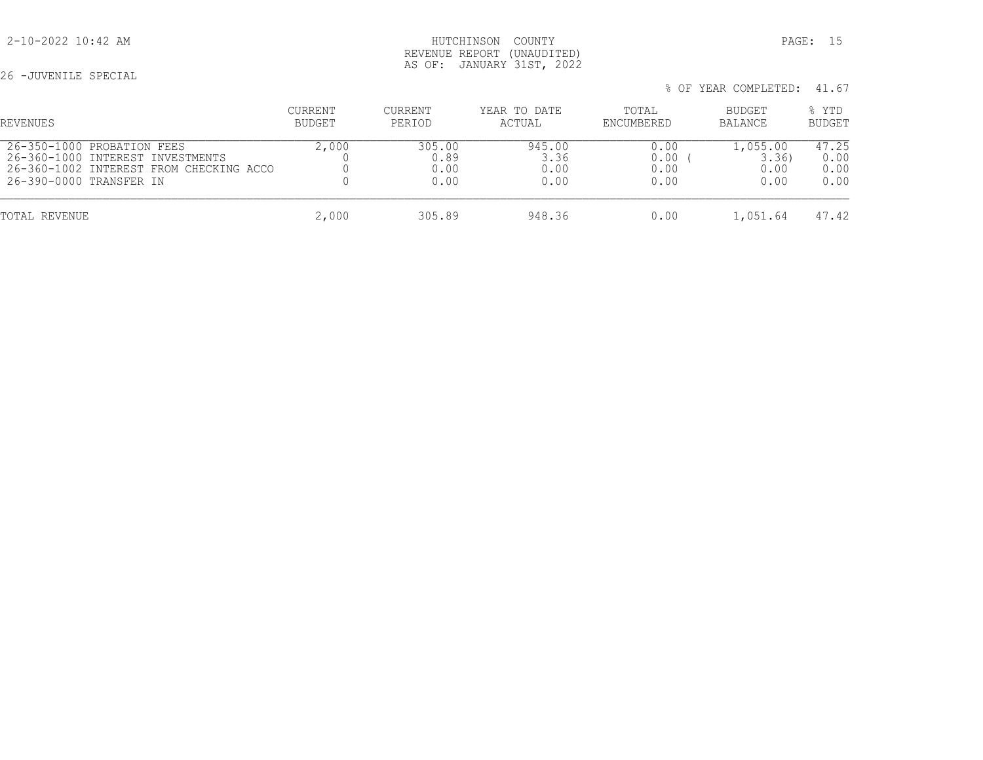## 2-10-2022 10:42 AM HUTCHINSON COUNTY PAGE: 15 REVENUE REPORT (UNAUDITED) AS OF: JANUARY 31ST, 2022

26 -JUVENILE SPECIAL

|  | % OF YEAR COMPLETED: 41.67 |  |
|--|----------------------------|--|
|  |                            |  |

| REVENUES                                | CURRENT       | CURRENT | YEAR TO DATE | TOTAL      | BUDGET   | % YTD         |
|-----------------------------------------|---------------|---------|--------------|------------|----------|---------------|
|                                         | <b>BUDGET</b> | PERIOD  | ACTUAL       | ENCUMBERED | BALANCE  | <b>BUDGET</b> |
| 26-350-1000 PROBATION FEES              | 2,000         | 305.00  | 945.00       | 0.00       | 1,055.00 | 47.25         |
| 26-360-1000 INTEREST INVESTMENTS        |               | 0.89    | 3.36         | 0.00       | 3.36     | 0.00          |
| 26-360-1002 INTEREST FROM CHECKING ACCO |               | 0.00    | 0.00         | 0.00       | 0.00     | 0.00          |
| 26-390-0000 TRANSFER IN                 |               | 0.00    | 0.00         | 0.00       | 0.00     | 0.00          |
| TOTAL REVENUE                           | 2,000         | 305.89  | 948.36       | 0.00       | 1,051.64 | 47.42         |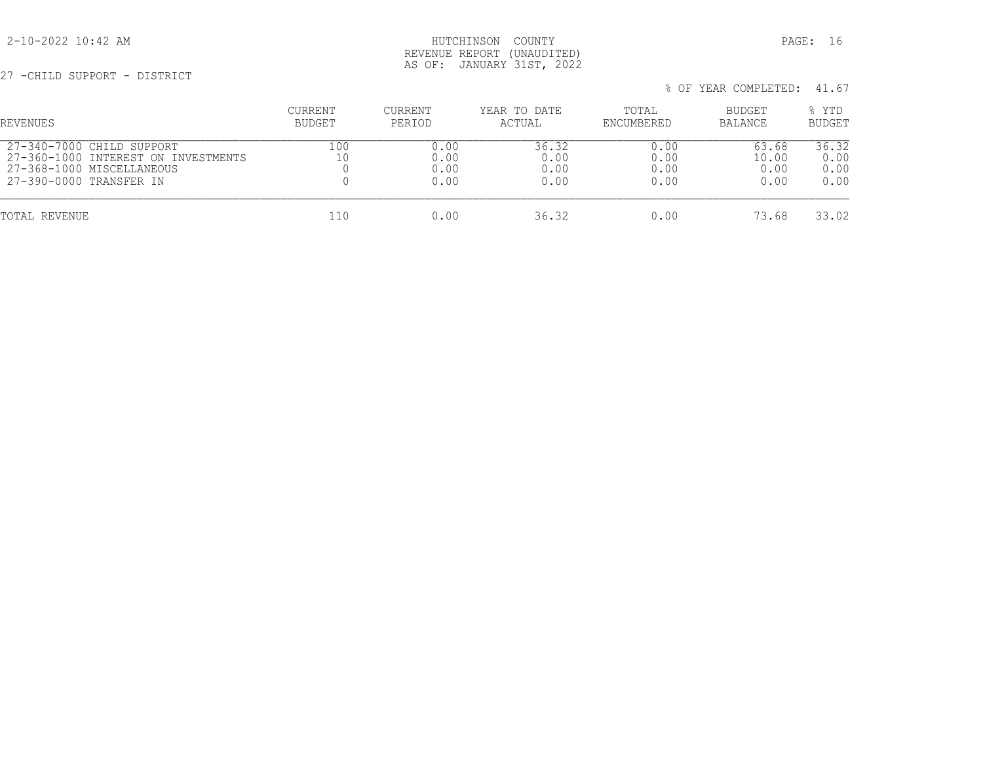## 2-10-2022 10:42 AM HUTCHINSON COUNTY PAGE: 16 REVENUE REPORT (UNAUDITED) AS OF: JANUARY 31ST, 2022

27 -CHILD SUPPORT - DISTRICT

|  | % OF YEAR COMPLETED: 41.67 |  |
|--|----------------------------|--|
|  |                            |  |

| REVENUES                            | CURRENT | CURRENT | YEAR TO DATE | TOTAL      | BUDGET  | % YTD         |
|-------------------------------------|---------|---------|--------------|------------|---------|---------------|
|                                     | BUDGET  | PERIOD  | ACTUAL       | ENCUMBERED | BALANCE | <b>BUDGET</b> |
| 27-340-7000 CHILD SUPPORT           | 100     | 0.00    | 36.32        | 0.00       | 63.68   | 36.32         |
| 27-360-1000 INTEREST ON INVESTMENTS |         | 0.00    | 0.00         | 0.00       | 10.00   | 0.00          |
| 27-368-1000 MISCELLANEOUS           |         | 0.00    | 0.00         | 0.00       | 0.00    | 0.00          |
| 27-390-0000 TRANSFER IN             |         | 0.00    | 0.00         | 0.00       | 0.00    | 0.00          |
| TOTAL REVENUE                       | 110     | 0.00    | 36.32        | 0.00       | 73.68   | 33.02         |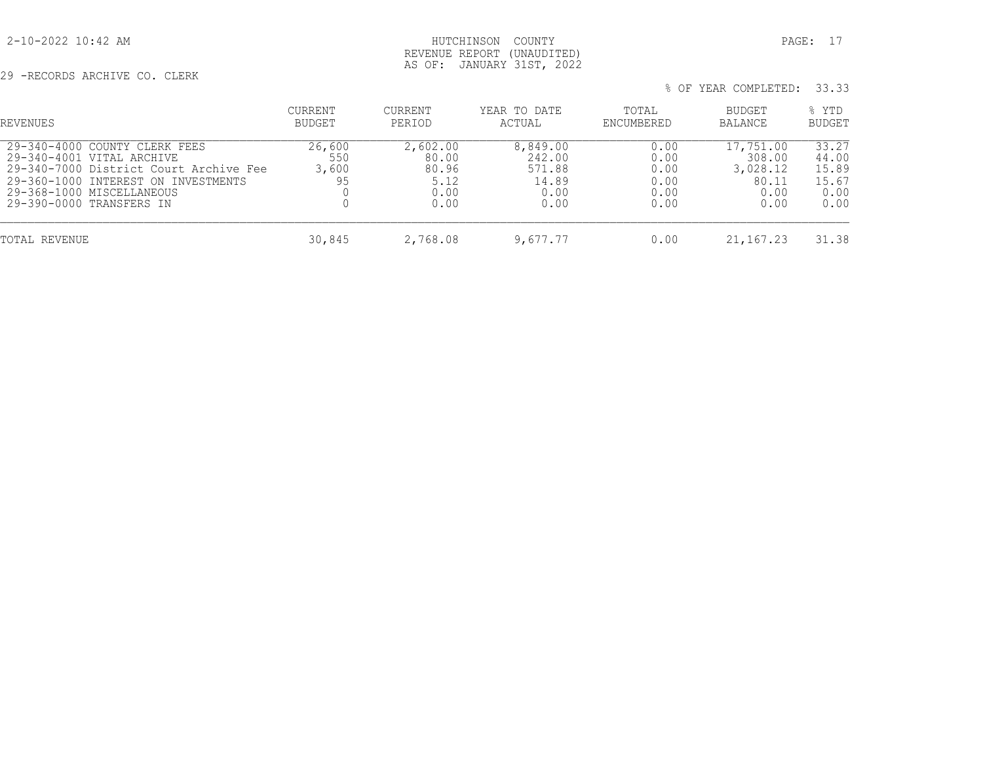## 2-10-2022 10:42 AM HUTCHINSON COUNTY PAGE: 17 REVENUE REPORT (UNAUDITED) AS OF: JANUARY 31ST, 2022

29 -RECORDS ARCHIVE CO. CLERK

| REVENUES                                                                                                                                                                                             | CURRENT<br><b>BUDGET</b>     | CURRENT<br>PERIOD                                  | YEAR TO DATE<br>ACTUAL                                | TOTAL<br>ENCUMBERED                          | BUDGET<br><b>BALANCE</b>                                 | % YTD<br>BUDGET                                  |
|------------------------------------------------------------------------------------------------------------------------------------------------------------------------------------------------------|------------------------------|----------------------------------------------------|-------------------------------------------------------|----------------------------------------------|----------------------------------------------------------|--------------------------------------------------|
| 29-340-4000 COUNTY CLERK FEES<br>29-340-4001 VITAL ARCHIVE<br>29-340-7000 District Court Archive Fee<br>29-360-1000 INTEREST ON INVESTMENTS<br>29-368-1000 MISCELLANEOUS<br>29-390-0000 TRANSFERS IN | 26,600<br>550<br>3,600<br>95 | 2,602.00<br>80.00<br>80.96<br>5.12<br>0.00<br>0.00 | 8,849.00<br>242.00<br>571.88<br>14.89<br>0.00<br>0.00 | 0.00<br>0.00<br>0.00<br>0.00<br>0.00<br>0.00 | 17,751.00<br>308.00<br>3,028.12<br>80.11<br>0.00<br>0.00 | 33.27<br>44.00<br>15.89<br>15.67<br>0.00<br>0.00 |
| TOTAL REVENUE                                                                                                                                                                                        | 30,845                       | 2,768.08                                           | 9,677.77                                              | 0.00                                         | 21, 167. 23                                              | 31.38                                            |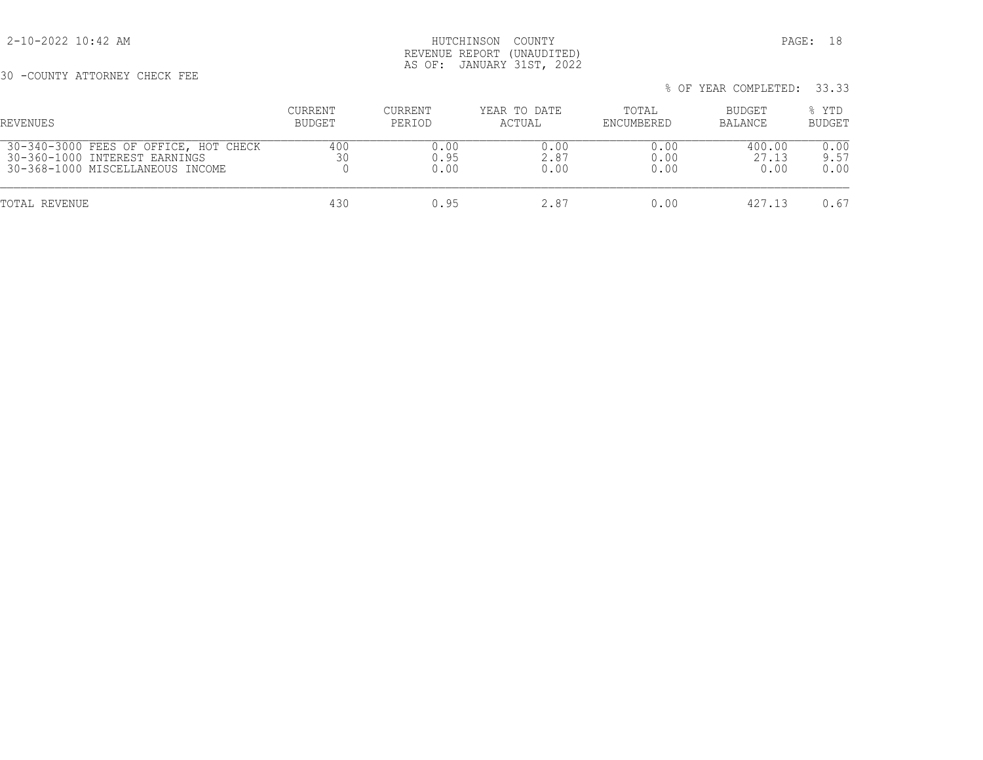2-10-2022 10:42 AM HUTCHINSON COUNTY PAGE: 18 REVENUE REPORT (UNAUDITED) AS OF: JANUARY 31ST, 2022

30 -COUNTY ATTORNEY CHECK FEE

| REVENUES                              | CURRENT       | CURRENT | YEAR TO DATE | TOTAL      | BUDGET  | % YTD  |
|---------------------------------------|---------------|---------|--------------|------------|---------|--------|
|                                       | <b>BUDGET</b> | PERIOD  | ACTUAL       | ENCUMBERED | BALANCE | BUDGET |
| 30-340-3000 FEES OF OFFICE, HOT CHECK | 400           | 0.00    | 0.00         | 0.00       | 400.00  | 0.00   |
| 30-360-1000 INTEREST EARNINGS         |               | 0.95    | 2.87         | 0.00       | 27.13   | 9.57   |
| 30-368-1000 MISCELLANEOUS INCOME      |               | 0.00    | 0.00         | 0.00       | 0.00    | 0.00   |
| TOTAL REVENUE                         | 430           | 0.95    | 2.87         | 0.00       | 427.13  | 0.67   |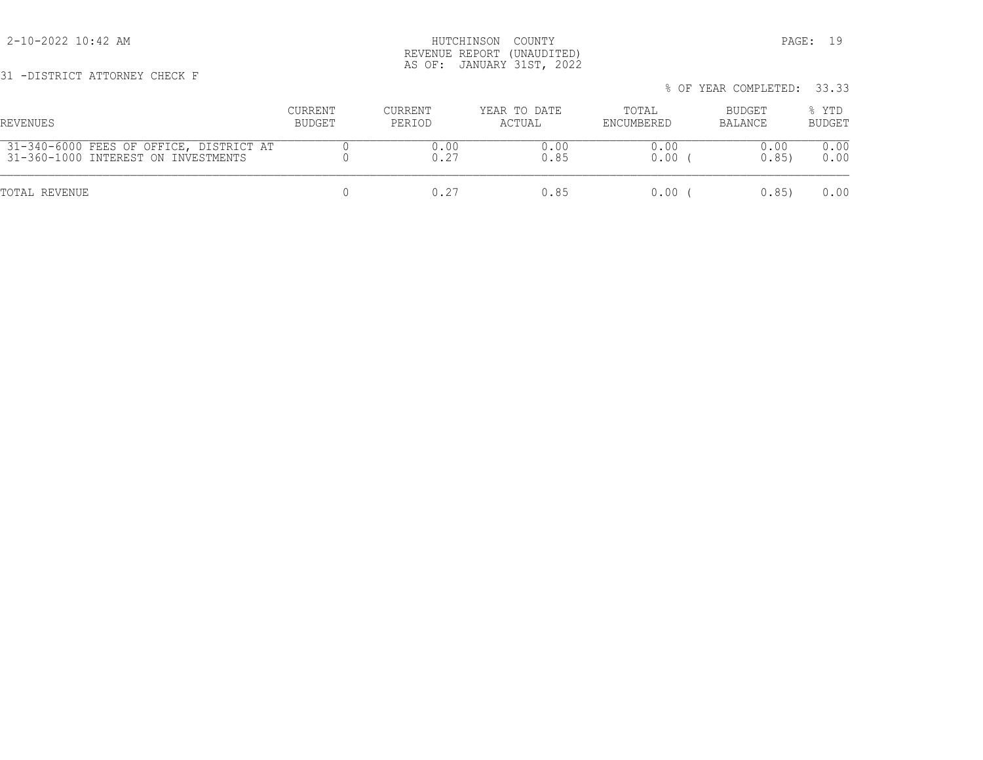31 -DISTRICT ATTORNEY CHECK F

## 2-10-2022 10:42 AM HUTCHINSON COUNTY PAGE: 19 REVENUE REPORT (UNAUDITED) AS OF: JANUARY 31ST, 2022

 % OF YEAR COMPLETED: 33.33 CURRENT CURRENT YEAR TO DATE TOTAL BUDGET % YTD REVENUES BUDGET PERIOD ACTUAL ENCUMBERED BALANCE BUDGET 31-340-6000 FEES OF OFFICE, DISTRICT AT 0 0.00 0.00 0.00 0.00 0.00 31-360-1000 INTEREST ON INVESTMENTS 0 0.27 0.85 0.00 ( 0.85) 0.00 TOTAL REVENUE 0 0.27 0.85 0.00 ( 0.85) 0.00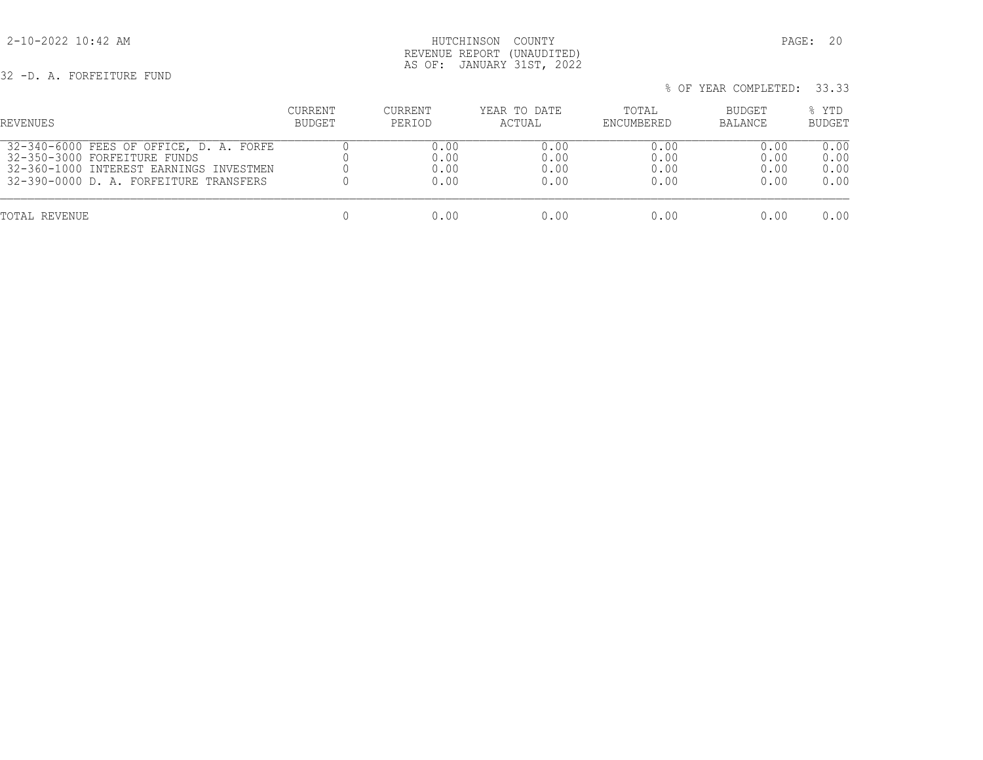2-10-2022 10:42 AM HUTCHINSON COUNTY PAGE: 20 REVENUE REPORT (UNAUDITED) AS OF: JANUARY 31ST, 2022

32 -D. A. FORFEITURE FUND

| % OF YEAR COMPLETED: 33.33 |  |
|----------------------------|--|
|----------------------------|--|

| REVENUES                                | CURRENT | CURRENT | YEAR TO DATE | TOTAL      | BUDGET         | % YTD         |
|-----------------------------------------|---------|---------|--------------|------------|----------------|---------------|
|                                         | BUDGET  | PERIOD  | ACTUAL       | ENCUMBERED | <b>BALANCE</b> | <b>BUDGET</b> |
| 32-340-6000 FEES OF OFFICE, D. A. FORFE |         | 0.00    | 0.00         | 0.00       | 0.00           | 0.00          |
| 32-350-3000 FORFEITURE FUNDS            |         | 0.00    | 0.00         | 0.00       | 0.00           | 0.00          |
| 32-360-1000 INTEREST EARNINGS INVESTMEN |         | 0.00    | 0.00         | 0.00       | 0.00           | 0.00          |
| 32-390-0000 D. A. FORFEITURE TRANSFERS  |         | 0.00    | 0.00         | 0.00       | 0.00           | 0.00          |
| TOTAL REVENUE                           |         | 0.00    | 0.00         | 0.OO       | 0.00           | 0.00          |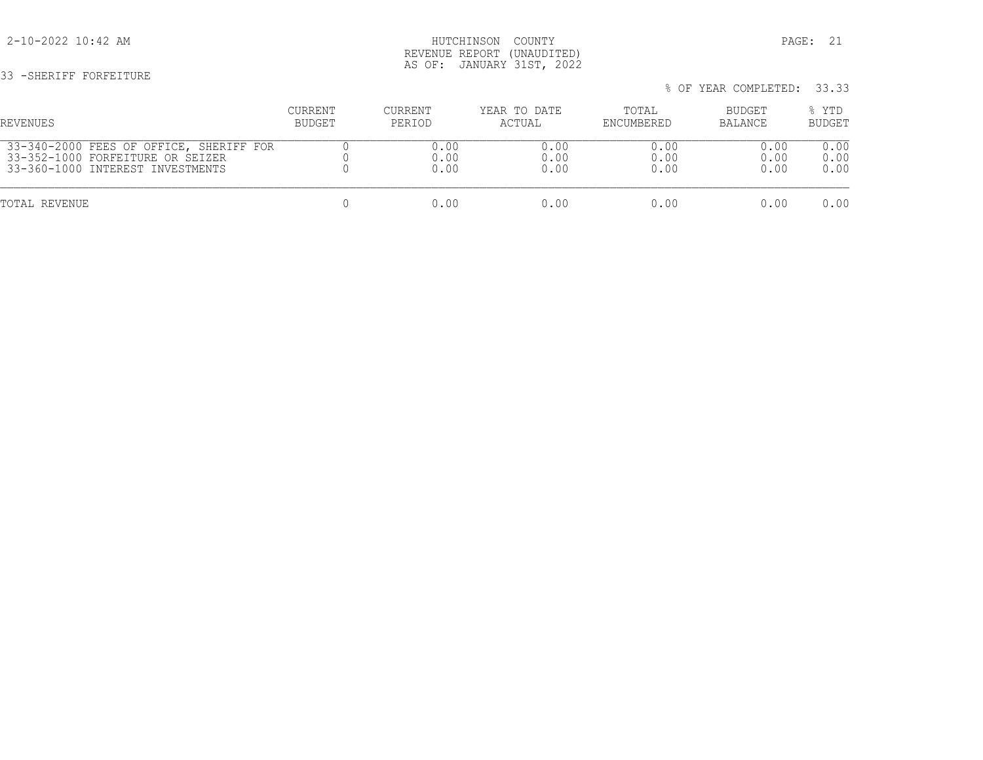33 -SHERIFF FORFEITURE

## 2-10-2022 10:42 AM HUTCHINSON COUNTY PAGE: 21 REVENUE REPORT (UNAUDITED) AS OF: JANUARY 31ST, 2022

% OF YEAR COMPLETED: 33.33

# CURRENT CURRENT YEAR TO DATE TOTAL BUDGET % YTD REVENUES BUDGET PERIOD ACTUAL ENCUMBERED BALANCE BUDGET 33-340-2000 FEES OF OFFICE, SHERIFF FOR 0 0.00 0.00 0.00 0.00 0.00 33-352-1000 FORFEITURE OR SEIZER 0 0.00 0.00 0.00 0.00 0.00 33-360-1000 INTEREST INVESTMENTS 0 0.00 0.00 0.00 0.00 0.00 TOTAL REVENUE 0 0.00 0.00 0.00 0.00 0.00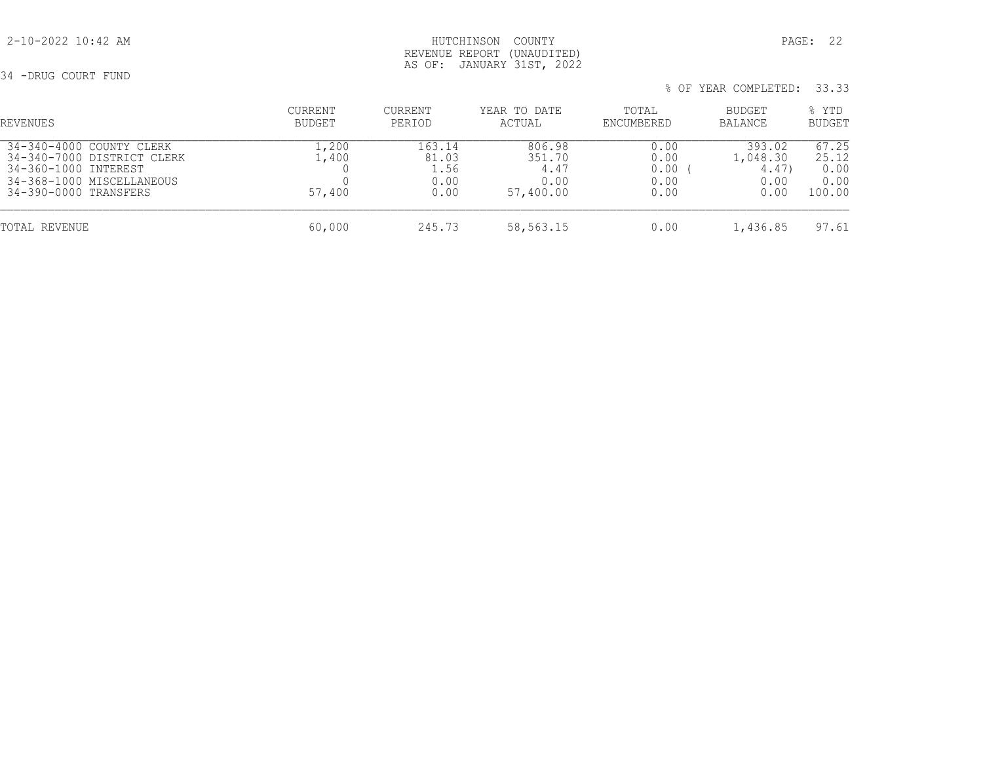## 2-10-2022 10:42 AM HUTCHINSON COUNTY PAGE: 22 REVENUE REPORT (UNAUDITED) AS OF: JANUARY 31ST, 2022

34 -DRUG COURT FUND

| % OF YEAR COMPLETED: 33.33 |  |  |  |
|----------------------------|--|--|--|
|----------------------------|--|--|--|

| REVENUES                                                                                                                             | CURRENT<br>BUDGET        | CURRENT<br>PERIOD                       | YEAR TO DATE<br>ACTUAL                        | TOTAL<br>ENCUMBERED                  | BUDGET<br>BALANCE                          | % YTD<br><b>BUDGET</b>                   |
|--------------------------------------------------------------------------------------------------------------------------------------|--------------------------|-----------------------------------------|-----------------------------------------------|--------------------------------------|--------------------------------------------|------------------------------------------|
| 34-340-4000 COUNTY CLERK<br>34-340-7000 DISTRICT CLERK<br>34-360-1000 INTEREST<br>34-368-1000 MISCELLANEOUS<br>34-390-0000 TRANSFERS | .,200<br>.,400<br>57,400 | 163.14<br>81.03<br>1.56<br>0.00<br>0.00 | 806.98<br>351.70<br>4.47<br>0.00<br>57,400.00 | 0.00<br>0.00<br>0.00<br>0.00<br>0.00 | 393.02<br>1,048.30<br>4.47<br>0.00<br>0.00 | 67.25<br>25.12<br>0.00<br>0.00<br>100.00 |
| TOTAL REVENUE                                                                                                                        | 60,000                   | 245.73                                  | 58,563.15                                     | 0.00                                 | 1,436.85                                   | 97.61                                    |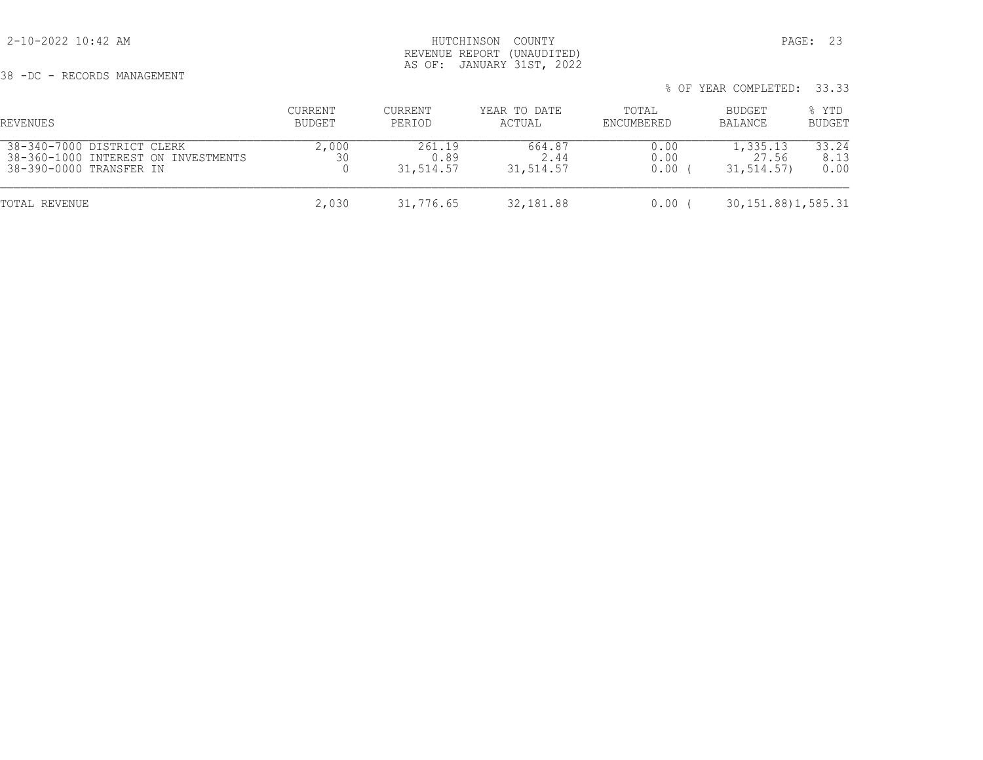38 -DC - RECORDS MANAGEMENT

## 2-10-2022 10:42 AM HUTCHINSON COUNTY PAGE: 23 REVENUE REPORT (UNAUDITED) AS OF: JANUARY 31ST, 2022

| REVENUES                                                                                     | CURRENT<br>BUDGET | CURRENT<br>PERIOD           | YEAR TO DATE<br>ACTUAL      | TOTAL<br>ENCUMBERED  | BUDGET<br>BALANCE               | % YTD<br><b>BUDGET</b> |
|----------------------------------------------------------------------------------------------|-------------------|-----------------------------|-----------------------------|----------------------|---------------------------------|------------------------|
| 38-340-7000 DISTRICT CLERK<br>38-360-1000 INTEREST ON INVESTMENTS<br>38-390-0000 TRANSFER IN | 2,000<br>30       | 261.19<br>0.89<br>31,514.57 | 664.87<br>2.44<br>31,514.57 | 0.00<br>0.00<br>0.00 | 1,335.13<br>27.56<br>31,514.57) | 33.24<br>8.13<br>0.00  |
| TOTAL REVENUE                                                                                | 2,030             | 31,776.65                   | 32,181.88                   | 0.00                 | 30, 151.88) 1, 585.31           |                        |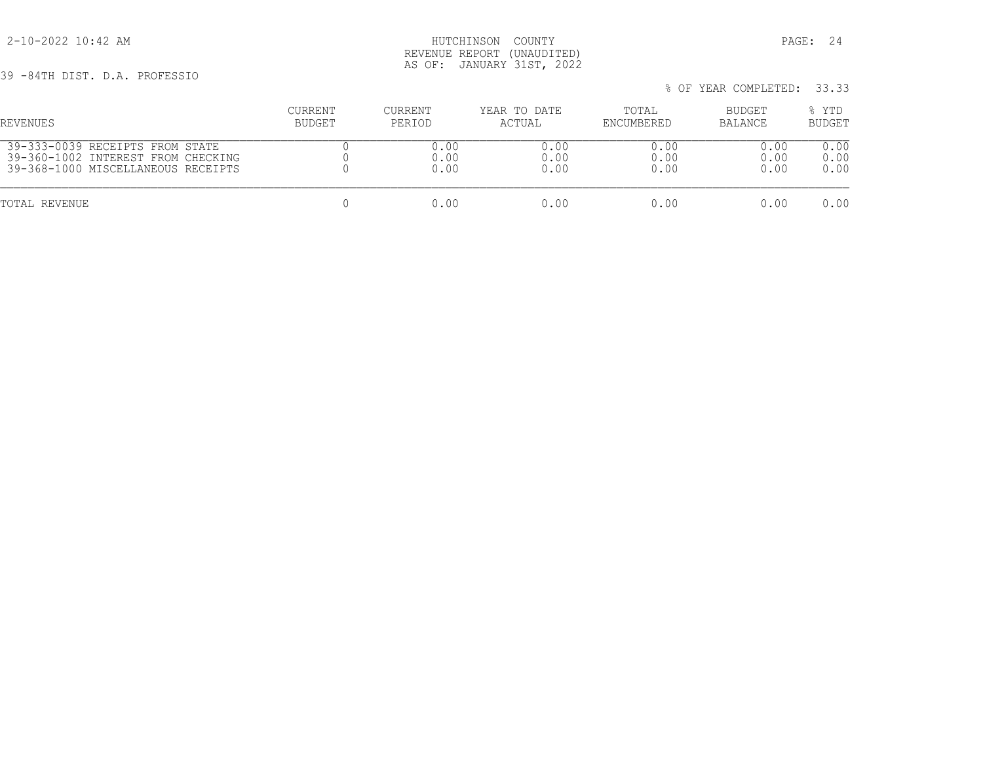2-10-2022 10:42 AM HUTCHINSON COUNTY PAGE: 24 REVENUE REPORT (UNAUDITED) AS OF: JANUARY 31ST, 2022

39 -84TH DIST. D.A. PROFESSIO

% OF YEAR COMPLETED: 33.33

 CURRENT CURRENT YEAR TO DATE TOTAL BUDGET % YTD REVENUES BUDGET PERIOD ACTUAL ENCUMBERED BALANCE BUDGET 39-333-0039 RECEIPTS FROM STATE 0 0.00 0.00 0.00 0.00 0.00 39-360-1002 INTEREST FROM CHECKING 0 0.00 0.00 0.00 0.00 0.00 39-368-1000 MISCELLANEOUS RECEIPTS 0 0.00 0.00 0.00 0.00 0.00 TOTAL REVENUE 0 0.00 0.00 0.00 0.00 0.00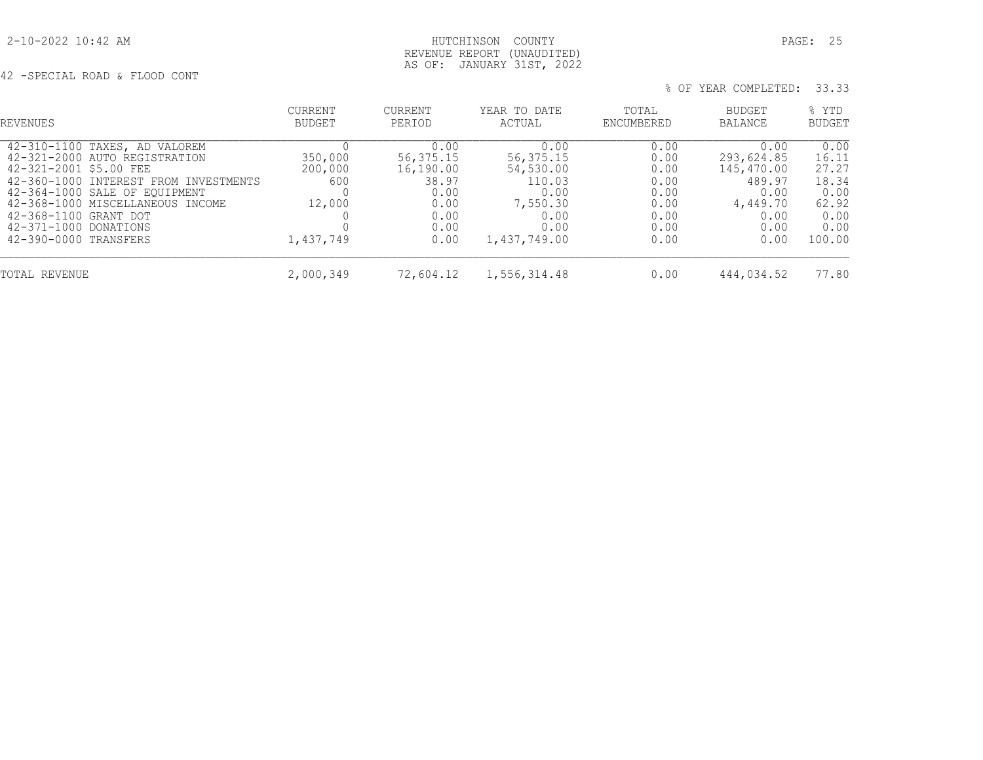2-10-2022 10:42 AM HUTCHINSON COUNTY PAGE: 25 REVENUE REPORT (UNAUDITED) AS OF: JANUARY 31ST, 2022

42 -SPECIAL ROAD & FLOOD CONT

| REVENUES                                                                                                                                                                                                                                                                          | <b>CURRENT</b><br><b>BUDGET</b>                  | <b>CURRENT</b><br>PERIOD                                                          | YEAR TO DATE<br>ACTUAL                                                                       | TOTAL<br>ENCUMBERED                                                  | BUDGET<br><b>BALANCE</b>                                                               | % YTD<br><b>BUDGET</b>                                                     |
|-----------------------------------------------------------------------------------------------------------------------------------------------------------------------------------------------------------------------------------------------------------------------------------|--------------------------------------------------|-----------------------------------------------------------------------------------|----------------------------------------------------------------------------------------------|----------------------------------------------------------------------|----------------------------------------------------------------------------------------|----------------------------------------------------------------------------|
| 42-310-1100 TAXES, AD VALOREM<br>42-321-2000 AUTO REGISTRATION<br>42-321-2001 \$5.00 FEE<br>42-360-1000 INTEREST FROM INVESTMENTS<br>42-364-1000 SALE OF EQUIPMENT<br>42-368-1000 MISCELLANEOUS INCOME<br>42-368-1100 GRANT DOT<br>42-371-1000 DONATIONS<br>42-390-0000 TRANSFERS | 350,000<br>200,000<br>600<br>12,000<br>1,437,749 | 0.00<br>56, 375. 15<br>16,190.00<br>38.97<br>0.00<br>0.00<br>0.00<br>0.00<br>0.00 | 0.00<br>56,375.15<br>54,530.00<br>110.03<br>0.00<br>7,550.30<br>0.00<br>0.00<br>1,437,749.00 | 0.00<br>0.00<br>0.00<br>0.00<br>0.00<br>0.00<br>0.00<br>0.00<br>0.00 | 0.00<br>293,624.85<br>145,470.00<br>489.97<br>0.00<br>4,449.70<br>0.00<br>0.00<br>0.00 | 0.00<br>16.11<br>27.27<br>18.34<br>0.00<br>62.92<br>0.00<br>0.00<br>100.00 |
| TOTAL REVENUE                                                                                                                                                                                                                                                                     | 2,000,349                                        | 72,604.12                                                                         | 1,556,314.48                                                                                 | 0.00                                                                 | 444,034.52                                                                             | 77.80                                                                      |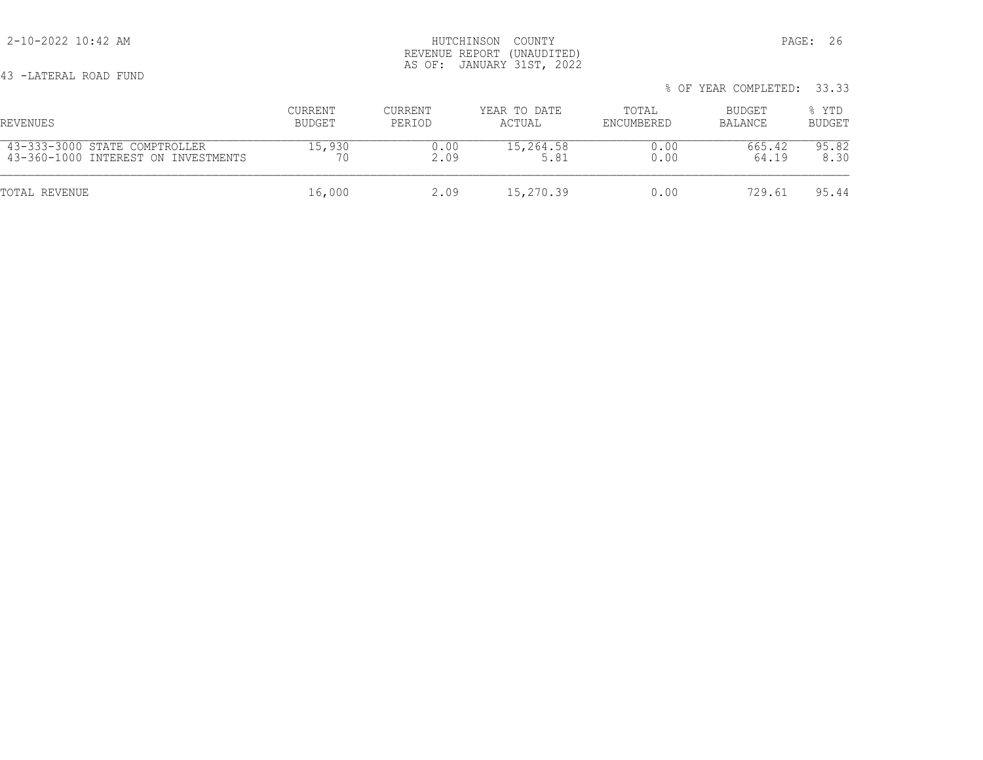| 43 -LATERAL ROAD FUND               |         |         |              |            | % OF YEAR COMPLETED: 33.33 |               |
|-------------------------------------|---------|---------|--------------|------------|----------------------------|---------------|
| REVENUES                            | CURRENT | CURRENT | YEAR TO DATE | TOTAL      | BUDGET                     | % YTD         |
|                                     | BUDGET  | PERIOD  | ACTUAL       | ENCUMBERED | BALANCE                    | <b>BUDGET</b> |
| 43-333-3000 STATE COMPTROLLER       | 15,930  | 0.00    | 15,264.58    | 0.00       | 665.42                     | 95.82         |
| 43-360-1000 INTEREST ON INVESTMENTS | 70      | 2.09    | 5.81         | 0.00       | 64.19                      | 8.30          |
| TOTAL REVENUE                       | 16,000  | 2.09    | 15,270.39    | 0.00       | 729.61                     | 95.44         |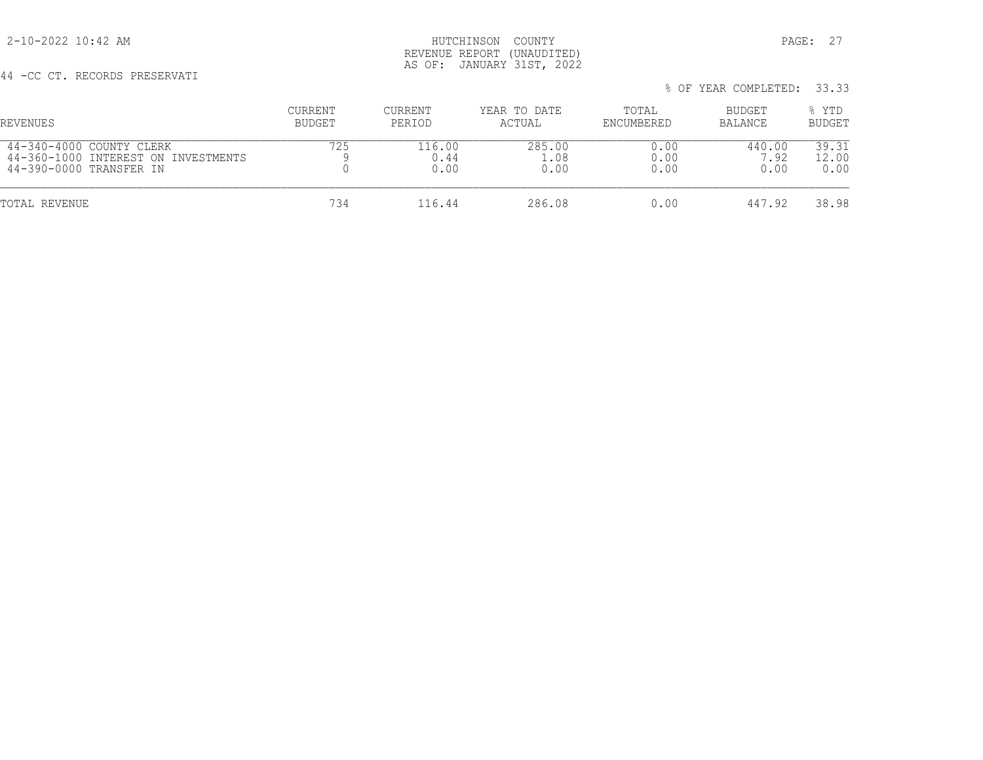2-10-2022 10:42 AM HUTCHINSON COUNTY PAGE: 27 REVENUE REPORT (UNAUDITED) AS OF: JANUARY 31ST, 2022

% OF YEAR COMPLETED: 33.33

# 44 -CC CT. RECORDS PRESERVATI

| REVENUES                            | CURRENT | CURRENT | YEAR TO DATE | TOTAL      | BUDGET  | % YTD         |
|-------------------------------------|---------|---------|--------------|------------|---------|---------------|
|                                     | BUDGET  | PERIOD  | ACTUAL       | ENCUMBERED | BALANCE | <b>BUDGET</b> |
| 44-340-4000 COUNTY CLERK            | 725     | 116.00  | 285.00       | 0.00       | 440.00  | 39.31         |
| 44-360-1000 INTEREST ON INVESTMENTS |         | 0.44    | 1.08         | 0.00       | 7.92    | 12.00         |
| 44-390-0000 TRANSFER IN             |         | 0.00    | 0.00         | 0.00       | 0.00    | 0.00          |
| TOTAL REVENUE                       | 734     | 116.44  | 286.08       | 0.00       | 447.92  | 38.98         |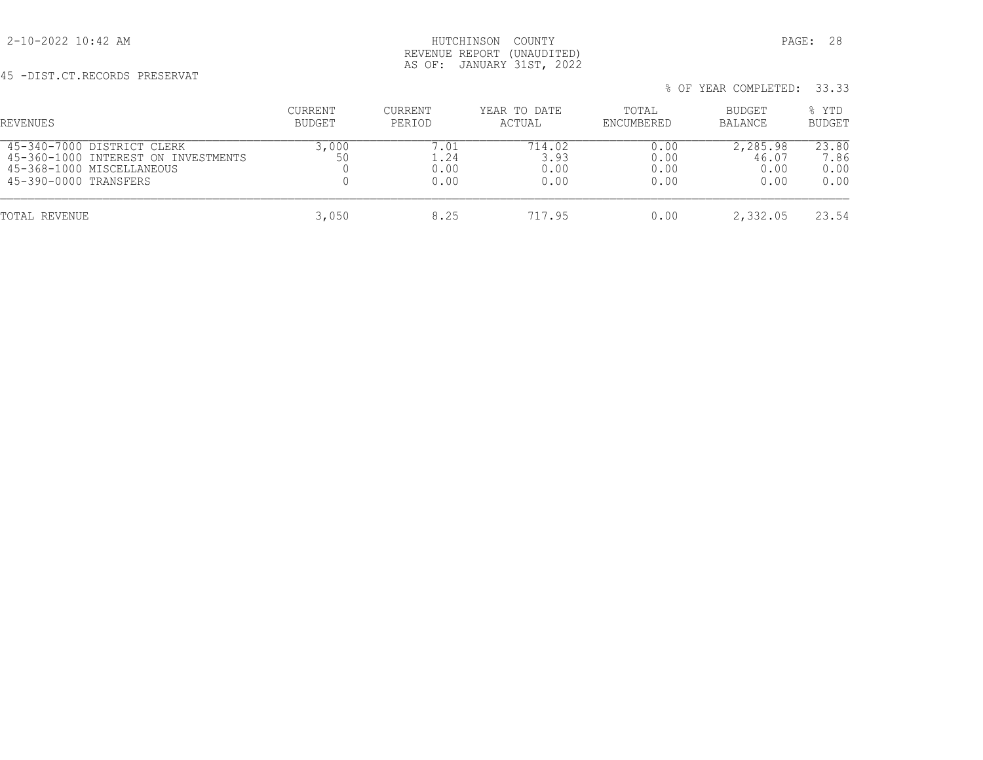## 2-10-2022 10:42 AM HUTCHINSON COUNTY PAGE: 28 REVENUE REPORT (UNAUDITED) AS OF: JANUARY 31ST, 2022

# 45 -DIST.CT.RECORDS PRESERVAT

| REVENUES                                                                                                                | CURRENT<br>BUDGET | <b>CURRENT</b><br>PERIOD   | YEAR TO DATE<br>ACTUAL         | TOTAL<br>ENCUMBERED          | BUDGET<br><b>BALANCE</b>          | % YTD<br><b>BUDGET</b>        |
|-------------------------------------------------------------------------------------------------------------------------|-------------------|----------------------------|--------------------------------|------------------------------|-----------------------------------|-------------------------------|
| 45-340-7000 DISTRICT CLERK<br>45-360-1000 INTEREST ON INVESTMENTS<br>45-368-1000 MISCELLANEOUS<br>45-390-0000 TRANSFERS | 3,000<br>50       | 7.01<br>24<br>0.00<br>0.00 | 714.02<br>3.93<br>0.00<br>0.00 | 0.00<br>0.00<br>0.00<br>0.00 | 2,285.98<br>46.07<br>0.00<br>0.00 | 23.80<br>7.86<br>0.00<br>0.00 |
| TOTAL REVENUE                                                                                                           | 3,050             | 8.25                       | 717.95                         | 0.00                         | 2,332.05                          | 23.54                         |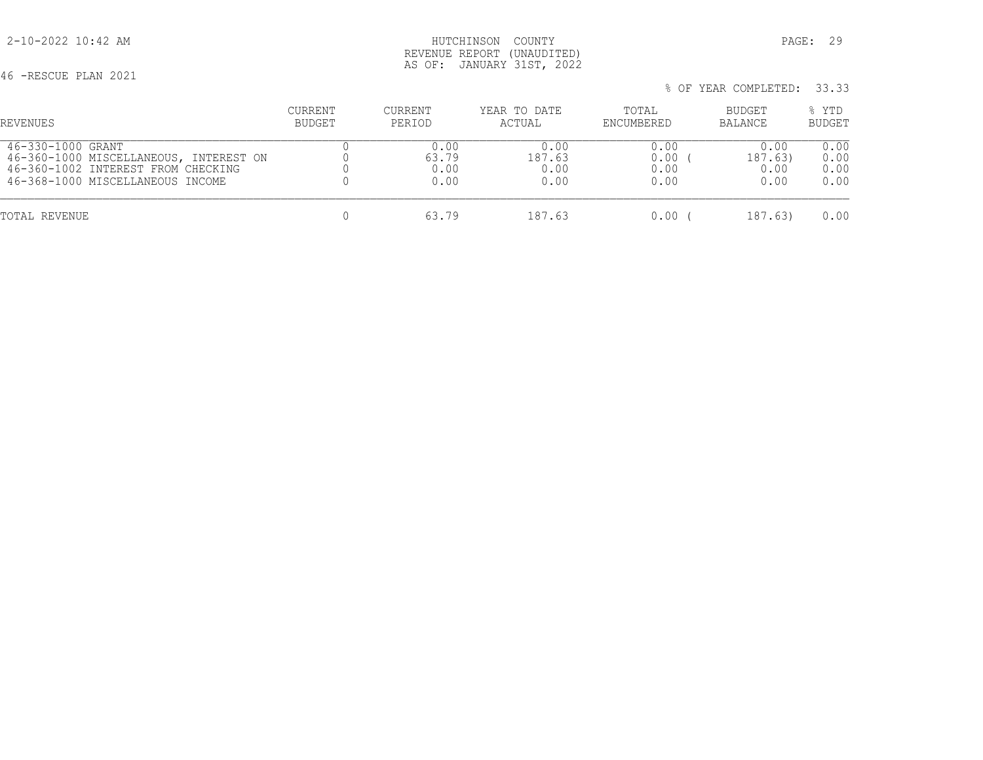46 -RESCUE PLAN 2021

 2-10-2022 10:42 AM HUTCHINSON COUNTY PAGE: 29 REVENUE REPORT (UNAUDITED) AS OF: JANUARY 31ST, 2022

 % OF YEAR COMPLETED: 33.33 CURRENT CURRENT YEAR TO DATE TOTAL BUDGET % YTD REVENUES BUDGET PERIOD ACTUAL ENCUMBERED BALANCE BUDGET 46-330-1000 GRANT 0 0.00 0.00 0.00 0.00 0.00

| TOTAL REVENUE                                                                                                    |                       | 187.63                 | 0.00         | 187.63)                 | 0.00                      |
|------------------------------------------------------------------------------------------------------------------|-----------------------|------------------------|--------------|-------------------------|---------------------------|
| 46-360-1000 MISCELLANEOUS, INTEREST ON<br>46-360-1002 INTEREST FROM CHECKING<br>46-368-1000 MISCELLANEOUS INCOME | 63.79<br>0.00<br>0.00 | 187.63<br>0.00<br>0.OO | 0.00<br>0.00 | 187.63)<br>0.00<br>0.00 | 0.00<br>0.00<br>0.00      |
| THILL DUCK THE OLD OF                                                                                            | <u>v.vv</u>           | ◡.◡◡                   | <u>v.vv</u>  | . v                     | $\circ \cdot \circ \circ$ |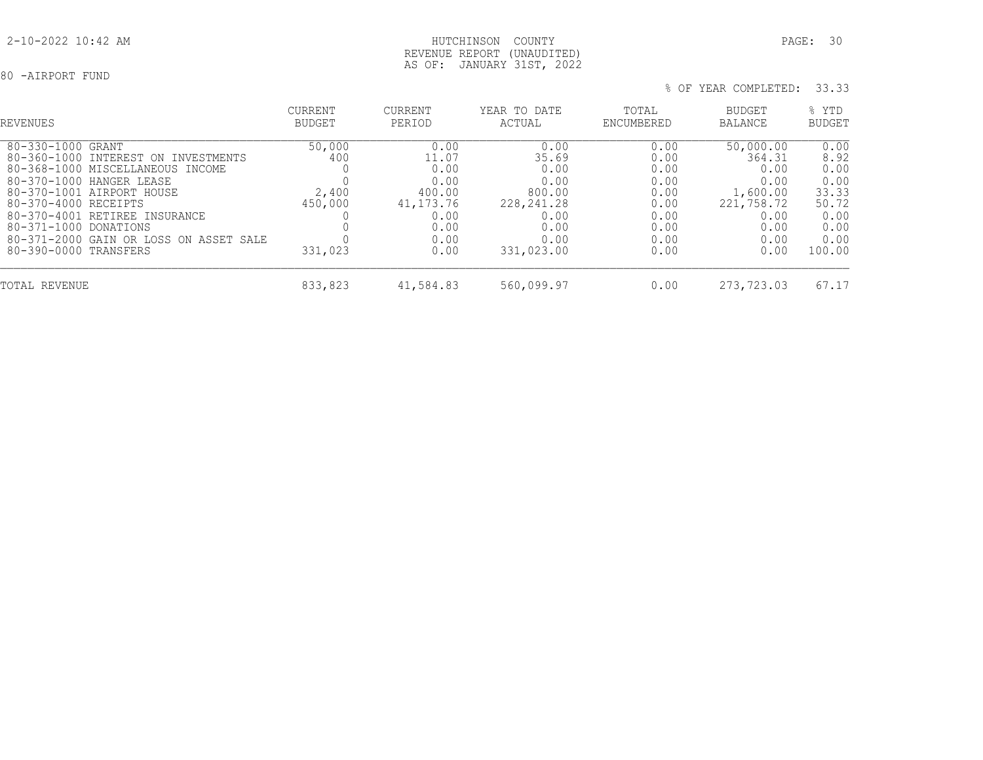## 80 -AIRPORT FUND

| REVENUES                                                                                                                                                                                                                                                                                                                     | <b>CURRENT</b><br><b>BUDGET</b>              | <b>CURRENT</b><br>PERIOD                                                               | YEAR TO DATE<br>ACTUAL                                                                       | TOTAL<br>ENCUMBERED                                                          | BUDGET<br><b>BALANCE</b>                                                                      | % YTD<br><b>BUDGET</b>                                                           |
|------------------------------------------------------------------------------------------------------------------------------------------------------------------------------------------------------------------------------------------------------------------------------------------------------------------------------|----------------------------------------------|----------------------------------------------------------------------------------------|----------------------------------------------------------------------------------------------|------------------------------------------------------------------------------|-----------------------------------------------------------------------------------------------|----------------------------------------------------------------------------------|
| $80 - 330 - 1000$<br>GRANT<br>80-360-1000<br>INTEREST ON INVESTMENTS<br>80-368-1000 MISCELLANEOUS INCOME<br>80-370-1000<br>HANGER LEASE<br>80-370-1001 AIRPORT HOUSE<br>80-370-4000 RECEIPTS<br>80-370-4001 RETIREE INSURANCE<br>80-371-1000<br>DONATIONS<br>80-371-2000 GAIN OR LOSS ON ASSET SALE<br>80-390-0000 TRANSFERS | 50,000<br>400<br>2,400<br>450,000<br>331,023 | 0.00<br>11.07<br>0.00<br>0.00<br>400.00<br>41, 173. 76<br>0.00<br>0.00<br>0.00<br>0.00 | 0.00<br>35.69<br>0.00<br>0.00<br>800.00<br>228, 241.28<br>0.00<br>0.00<br>0.00<br>331,023.00 | 0.00<br>0.00<br>0.00<br>0.00<br>0.00<br>0.00<br>0.00<br>0.00<br>0.00<br>0.00 | 50,000.00<br>364.31<br>0.00<br>0.00<br>1,600.00<br>221,758.72<br>0.00<br>0.00<br>0.00<br>0.00 | 0.00<br>8.92<br>0.00<br>0.00<br>33.33<br>50.72<br>0.00<br>0.00<br>0.00<br>100.00 |
| TOTAL REVENUE                                                                                                                                                                                                                                                                                                                | 833,823                                      | 41,584.83                                                                              | 560,099.97                                                                                   | 0.00                                                                         | 273,723.03                                                                                    | 67.17                                                                            |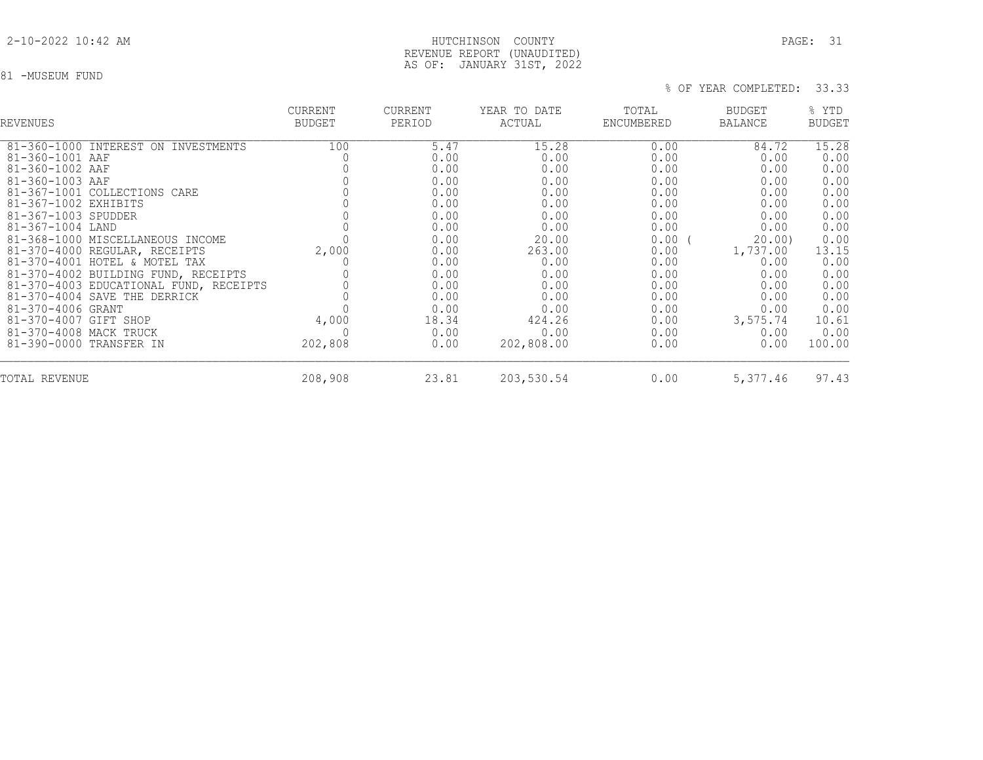## 2-10-2022 10:42 AM HUTCHINSON COUNTY PAGE: 31 REVENUE REPORT (UNAUDITED) AS OF: JANUARY 31ST, 2022

## 81 -MUSEUM FUND

| <b>REVENUES</b>                        | <b>CURRENT</b><br><b>BUDGET</b> | CURRENT<br>PERIOD | YEAR TO DATE<br>ACTUAL | TOTAL<br>ENCUMBERED | BUDGET<br><b>BALANCE</b> | % YTD<br><b>BUDGET</b> |
|----------------------------------------|---------------------------------|-------------------|------------------------|---------------------|--------------------------|------------------------|
| 81-360-1000 INTEREST ON INVESTMENTS    | 100                             | 5.47              | 15.28                  | 0.00                | 84.72                    | 15.28                  |
| 81-360-1001 AAF                        |                                 | 0.00              | 0.00                   | 0.00                | 0.00                     | 0.00                   |
| 81-360-1002 AAF                        |                                 | 0.00              | 0.00                   | 0.00                | 0.00                     | 0.00                   |
| $81 - 360 - 1003$ AAF                  |                                 | 0.00              | 0.00                   | 0.00                | 0.00                     | 0.00                   |
| 81-367-1001 COLLECTIONS CARE           |                                 | 0.00              | 0.00                   | 0.00                | 0.00                     | 0.00                   |
| 81-367-1002 EXHIBITS                   |                                 | 0.00              | 0.00                   | 0.00                | 0.00                     | 0.00                   |
| 81-367-1003 SPUDDER                    |                                 | 0.00              | 0.00                   | 0.00                | 0.00                     | 0.00                   |
| 81-367-1004 LAND                       |                                 | 0.00              | 0.00                   | 0.00                | 0.00                     | 0.00                   |
| 81-368-1000 MISCELLANEOUS INCOME       |                                 | 0.00              | 20.00                  | 0.00                | 20.00                    | 0.00                   |
| 81-370-4000 REGULAR, RECEIPTS          | 2,000                           | 0.00              | 263.00                 | 0.00                | 1,737.00                 | 13.15                  |
| 81-370-4001 HOTEL & MOTEL TAX          |                                 | 0.00              | 0.00                   | 0.00                | 0.00                     | 0.00                   |
| 81-370-4002 BUILDING FUND, RECEIPTS    |                                 | 0.00              | 0.00                   | 0.00                | 0.00                     | 0.00                   |
| 81-370-4003 EDUCATIONAL FUND, RECEIPTS |                                 | 0.00              | 0.00                   | 0.00                | 0.00                     | 0.00                   |
| 81-370-4004 SAVE THE DERRICK           |                                 | 0.00              | 0.00                   | 0.00                | 0.00                     | 0.00                   |
| 81-370-4006 GRANT                      |                                 | 0.00              | 0.00                   | 0.00                | 0.00                     | 0.00                   |
| 81-370-4007 GIFT SHOP                  | 4,000                           | 18.34             | 424.26                 | 0.00                | 3,575.74                 | 10.61                  |
| 81-370-4008 MACK TRUCK                 |                                 | 0.00              | 0.00                   | 0.00                | 0.00                     | 0.00                   |
| 81-390-0000 TRANSFER IN                | 202,808                         | 0.00              | 202,808.00             | 0.00                | 0.00                     | 100.00                 |
| TOTAL REVENUE                          | 208,908                         | 23.81             | 203,530.54             | 0.00                | 5,377.46                 | 97.43                  |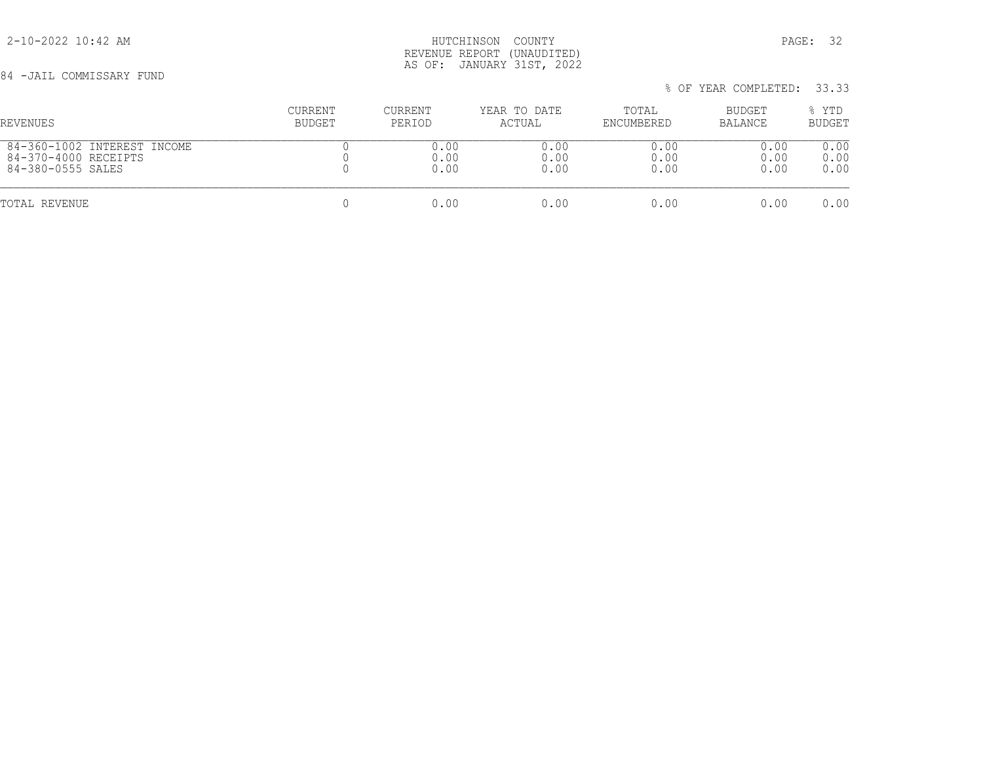84 -JAIL COMMISSARY FUND

## 2-10-2022 10:42 AM HUTCHINSON COUNTY PAGE: 32 REVENUE REPORT (UNAUDITED) AS OF: JANUARY 31ST, 2022

% OF YEAR COMPLETED: 33.33

# CURRENT CURRENT YEAR TO DATE TOTAL BUDGET % YTD REVENUES BUDGET PERIOD ACTUAL ENCUMBERED BALANCE BUDGET  $\begin{array}{cccccccccc} 84-360-1002 & \text{INTEREST INCOME} & & & & & 0 & & & 0.00 & & & & 0.00 & & & & 0.00 & & & & 0.00 & & & & 0.00 & & & & 0.00 & & & & 0.00 & & & & 0.00 & & & & 0.00 & & & & & 0.00 & & & & & 0.00 & & & & & 0.00 & & & & & 0.00 & & & & & 0.00 & & & & & 0.00 & & & & & 0.00 & & & & & 0.00 & & & & & 0.00 & & & & & 0.00 & & &$  84-370-4000 RECEIPTS 0 0.00 0.00 0.00 0.00 0.00 84-380-0555 SALES TOTAL REVENUE 0 0.00 0.00 0.00 0.00 0.00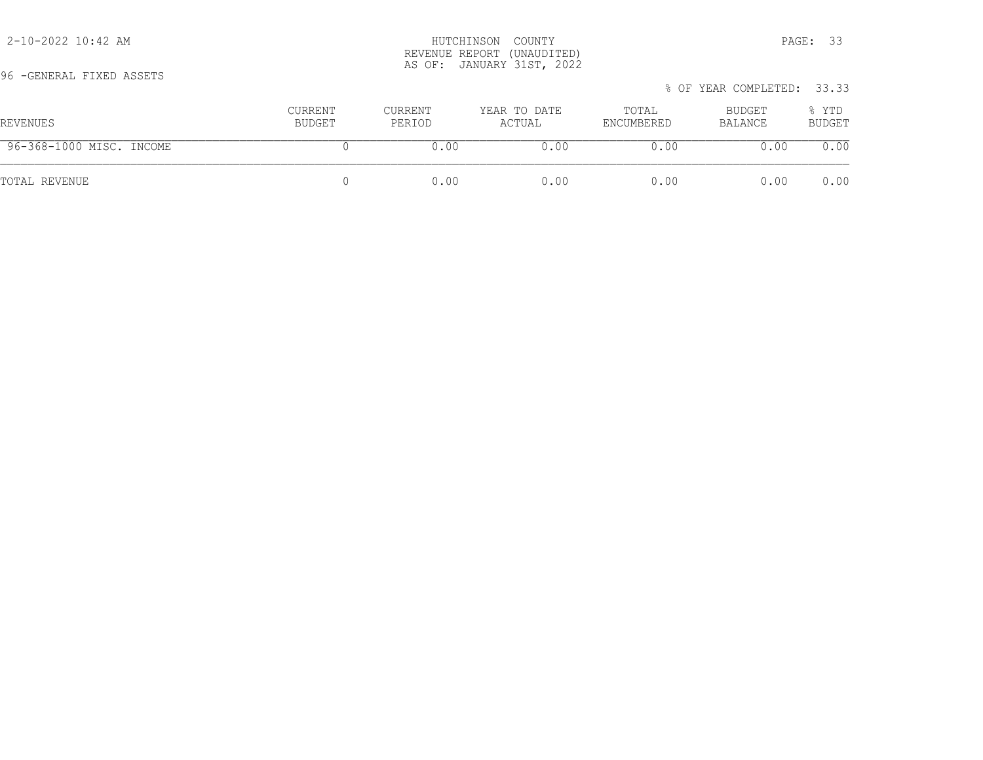| YO TULNLKAL FIALU ASSLIS |                   |                   |                        |                     | % OF YEAR COMPLETED: 33.33 |                 |
|--------------------------|-------------------|-------------------|------------------------|---------------------|----------------------------|-----------------|
| REVENUES                 | CURRENT<br>BUDGET | CURRENT<br>PERIOD | YEAR TO DATE<br>ACTUAL | TOTAL<br>ENCUMBERED | BUDGET<br>BALANCE          | % YTD<br>BUDGET |
| 96-368-1000 MISC. INCOME |                   | 0.00              | 0.00                   | 0.00                | 0.00                       | 0.00            |
| TOTAL REVENUE            |                   | 0.00              | 0.00                   | 0.00                | 0.00                       | 0.00            |